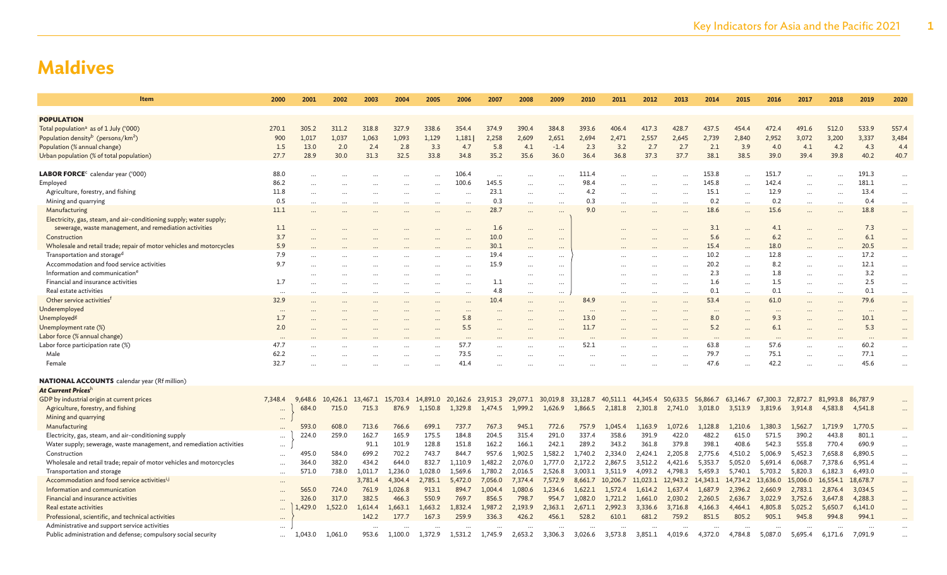| Item                                                                 | 2000      | 2001      | 2002              | 2003    | 2004     | 2005              | 2006      | 2007     | 2008     | 2009                       | 2010    | 2011              | 2012      | 2013      | 2014              | 2015      | 2016                 | 2017              | 2018                 | 2019     | 2020      |
|----------------------------------------------------------------------|-----------|-----------|-------------------|---------|----------|-------------------|-----------|----------|----------|----------------------------|---------|-------------------|-----------|-----------|-------------------|-----------|----------------------|-------------------|----------------------|----------|-----------|
|                                                                      |           |           |                   |         |          |                   |           |          |          |                            |         |                   |           |           |                   |           |                      |                   |                      |          |           |
| <b>POPULATION</b>                                                    |           |           |                   |         |          |                   |           |          |          |                            |         |                   |           |           |                   |           |                      |                   |                      |          |           |
| Total population <sup>a</sup> as of 1 July ('000)                    | 270.1     | 305.2     | 311.2             | 318.8   | 327.9    | 338.6             | 354.4     | 374.9    | 390.4    | 384.8                      | 393.6   | 406.4             | 417.3     | 428.7     | 437.5             | 454.4     | 472.4                | 491.6             | 512.0                | 533.9    | 557.4     |
| Population density <sup>b</sup> (persons/km <sup>2</sup> )           | 900       | 1,017     | 1,037             | 1,063   | 1,093    | 1,129             | 1,181     | 2,258    | 2,609    | 2,651                      | 2,694   | 2,471             | 2,557     | 2,645     | 2,739             | 2,840     | 2,952                | 3,072             | 3,200                | 3,337    | 3,484     |
| Population (% annual change)                                         | 1.5       | 13.0      | 2.0               | 2.4     | 2.8      | 3.3               | 4.7       | 5.8      | 4.1      | $-1.4$                     | 2.3     | 3.2               | 2.7       | 2.7       | 2.1               | 3.9       | 4.0                  | 4.1               | 4.2                  | 4.3      | 4.4       |
| Urban population (% of total population)                             | 27.7      | 28.9      | 30.0              | 31.3    | 32.5     | 33.8              | 34.8      | 35.2     | 35.6     | 36.0                       | 36.4    | 36.8              | 37.3      | 37.7      | 38.1              | 38.5      | 39.0                 | 39.4              | 39.8                 | 40.2     | 40.7      |
|                                                                      |           |           |                   |         |          |                   |           |          |          |                            |         |                   |           |           |                   |           |                      |                   |                      |          |           |
| $\text{LABOR FORCE}^c$ calendar year ('000)                          | 88.0      |           |                   |         |          |                   | 106.4     |          |          |                            | 111.4   |                   |           |           | 153.8             |           | 151.7                |                   |                      | 191.3    | $\cdots$  |
| Employed                                                             | 86.2      | $\ddotsc$ |                   |         |          |                   | 100.6     | 145.5    | $\cdots$ |                            | 98.4    | $\cdots$          |           |           | 145.8             | $\cdots$  | 142.4                | $\cdots$          |                      | 181.1    | $\cdots$  |
| Agriculture, forestry, and fishing                                   | 11.8      | $\ddotsc$ |                   |         | .        | $\cdots$          | $\sim$    | 23.1     | $\cdots$ | $\ddotsc$                  | 4.2     | $\cdots$          |           | $\sim$    | 15.1              | $\cdots$  | 12.9                 | $\cdots$          | $\ddot{\phantom{a}}$ | 13.4     | $\cdots$  |
| Mining and quarrying                                                 | 0.5       | .         |                   |         |          |                   | $\ddotsc$ | 0.3      | $\cdots$ |                            | 0.3     | $\cdots$          |           |           | 0.2               | $\cdots$  | 0.2                  | $\cdots$          |                      | 0.4      | $\cdots$  |
| Manufacturing                                                        | 11.1      |           |                   |         |          |                   |           | 28.7     |          |                            | 9.0     |                   |           |           | 18.6              |           | 15.6                 |                   |                      | 18.8     | $\cdots$  |
| Electricity, gas, steam, and air-conditioning supply; water supply;  |           |           |                   |         |          |                   |           |          |          |                            |         |                   |           |           |                   |           |                      |                   |                      |          |           |
| sewerage, waste management, and remediation activities               | 1.1       |           |                   |         |          |                   |           | 1.6      | $\cdots$ |                            |         |                   |           |           | 3.1               |           | 4.1                  |                   |                      | 7.3      | $\cdots$  |
| Construction                                                         | 3.7       |           |                   |         |          |                   |           | 10.0     | $\cdots$ |                            |         |                   |           |           | 5.6               |           | 6.2                  |                   |                      | 6.1      |           |
| Wholesale and retail trade; repair of motor vehicles and motorcycles | 5.9       |           |                   |         |          |                   |           | 30.1     | $\cdots$ |                            |         |                   |           |           | 15.4              |           | 18.0                 |                   |                      | 20.5     | $\cdots$  |
| Transportation and storage <sup>d</sup>                              | 7.9       |           |                   |         |          |                   |           | 19.4     | $\cdots$ | $\cdots$                   |         |                   |           |           | 10.2              | $\ddotsc$ | 12.8                 | $\cdots$          |                      | 17.2     | $\cdots$  |
| Accommodation and food service activities                            | 9.7       |           |                   |         |          |                   |           | 15.9     | $\cdots$ | $\cdots$                   |         |                   |           |           | 20.2              | $\ddotsc$ | 8.2                  | $\cdots$          |                      | 12.1     | $\cdots$  |
| Information and communication <sup>e</sup>                           |           |           |                   |         |          |                   |           |          |          | $\cdots$                   |         |                   |           |           | 2.3               | $\cdots$  | 1.8                  |                   | $\ddotsc$            | 3.2      | $\cdots$  |
| Financial and insurance activities                                   | 1.7       |           |                   |         |          | $\cdots$          | $\cdots$  | 1.1      | $\cdots$ | $\cdots$                   |         |                   |           | $\ddotsc$ | 1.6               | $\cdots$  | 1.5                  | $\cdots$          | $\ddotsc$            | 2.5      | $\cdots$  |
| Real estate activities                                               | $\cdots$  |           |                   |         |          | $\cdots$          | $\cdots$  | 4.8      | $\cdots$ | $\cdots$                   |         |                   | $\ddotsc$ | $\ddotsc$ | 0.1               | $\cdots$  | 0.1                  | $\cdots$          | $\ddotsc$            | 0.1      | $\cdots$  |
| Other service activities <sup>t</sup>                                | 32.9      |           |                   |         |          |                   |           | 10.4     | $\cdots$ |                            | 84.9    |                   |           |           | 53.4              |           | 61.0                 |                   |                      | 79.6     | $\cdots$  |
| Underemployed                                                        | $\ddotsc$ |           |                   |         |          |                   |           |          |          |                            |         |                   |           |           | $\cdots$          |           | $\ddot{\phantom{a}}$ |                   |                      | $\sim$   | $\cdots$  |
| Unemployed <sup>g</sup>                                              | 1.7       |           |                   |         |          |                   | 5.8       |          |          |                            | 13.0    |                   |           |           | 8.0               |           | 9.3                  |                   |                      | 10.1     | $\cdots$  |
| Unemployment rate (%)                                                | 2.0       |           |                   |         |          |                   | 5.5       |          |          |                            | 11.7    |                   |           |           | 5.2               |           | 6.1                  |                   |                      | 5.3      | $\cdots$  |
| Labor force (% annual change)                                        |           |           |                   |         |          |                   |           |          |          |                            |         |                   |           |           |                   |           |                      |                   |                      |          |           |
| Labor force participation rate (%)                                   | 47.7      |           |                   |         |          |                   | 57.7      |          |          |                            | 52.1    |                   |           |           | 63.8              |           | 57.6                 |                   |                      | 60.2     |           |
| Male                                                                 | 62.2      |           |                   |         |          |                   | 73.5      |          |          |                            |         |                   |           |           | 79.7              | $\ddotsc$ | 75.1                 |                   |                      | 77.1     | $\cdots$  |
| Female                                                               | 32.7      |           |                   |         |          |                   | 41.4      |          |          |                            |         |                   |           |           | 47.6              |           | 42.2                 |                   |                      | 45.6     | $\ddotsc$ |
|                                                                      |           |           |                   |         |          |                   |           |          |          |                            |         |                   |           |           |                   |           |                      |                   |                      |          |           |
| <b>NATIONAL ACCOUNTS</b> calendar year (Rf million)                  |           |           |                   |         |          |                   |           |          |          |                            |         |                   |           |           |                   |           |                      |                   |                      |          |           |
| At Current Prices <sup>h</sup>                                       |           |           |                   |         |          |                   |           |          |          |                            |         |                   |           |           |                   |           |                      |                   |                      |          |           |
| GDP by industrial origin at current prices                           | 7,348.4   | 9,648.6   | 10,426.1 13,467.1 |         | 15,703.4 | 14,891.0 20,162.6 |           | 23,915.3 |          | 29,077.1 30,019.8 33,128.7 |         | 40,511.1 44,345.4 |           | 50,633.5  | 56,866.7 63,146.7 |           | 67,300.3             | 72,872.7 81,993.8 |                      | 86,787.9 |           |
| Agriculture, forestry, and fishing                                   | $\cdots$  | 684.0     | 715.0             | 715.3   | 876.9    | 1,150.8           | 1,329.8   | 1,474.5  | 1,999.2  | 1,626.9                    | 1,866.5 | 2,181.8           | 2,301.8   | 2,741.0   | 3,018.0           | 3,513.9   | 3,819.6              | 3,914.8           | 4,583.8              | 4,541.8  | $\cdots$  |
| Mining and quarrying                                                 | $\cdots$  |           |                   |         |          |                   |           |          |          |                            |         |                   |           |           |                   |           |                      |                   |                      |          |           |
| Manufacturing                                                        |           | 593.0     | 608.0             | 713.6   | 766.6    | 699.1             | 737.7     | 767.3    | 945.1    | 772.6                      | 757.9   | 1,045.4           | 1,163.9   | 1,072.6   | 1,128.8           | 1,210.6   | 1,380.3              | 1,562.7           | 1,719.9              | 1,770.5  |           |
| Electricity, gas, steam, and air-conditioning supply                 | $\cdots$  | 224.0     | 259.0             | 162.7   | 165.9    | 175.5             | 184.8     | 204.5    | 315.4    | 291.0                      | 337.4   | 358.6             | 391.9     | 422.0     | 482.2             | 615.0     | 571.5                | 390.2             | 443.8                | 801.1    |           |
| Water supply; sewerage, waste management, and remediation activities | $\cdots$  |           |                   | 91.1    | 101.9    | 128.8             | 151.8     | 162.2    | 166.1    | 242.1                      | 289.2   | 343.2             | 361.8     | 379.8     | 398.1             | 408.6     | 542.3                | 555.8             | 770.4                | 690.9    | $\cdots$  |
| Construction                                                         | $\cdots$  | 495.0     | 584.0             | 699.2   | 702.2    | 743.7             | 844.7     | 957.6    | 1.902.5  | 1,582.2                    | 1,740.2 | 2,334.0           | 2,424.1   | 2,205.8   | 2,775.6           | 4,510.2   | 5,006.9              | 5,452.3           | 7,658.8              | 6.890.5  | $\cdots$  |
| Wholesale and retail trade; repair of motor vehicles and motorcycles |           | 364.0     | 382.0             | 434.2   | 644.0    | 832.7             | 1,110.9   | 1,482.2  | 2,076.0  | 1,777.0                    | 2,172.2 | 2,867.5           | 3,512.2   | 4,421.6   | 5,353.7           | 5,052.0   | 5,691.4              | 6,068.7           | 7,378.6              | 6,951.4  | $\cdots$  |
| Transportation and storage                                           | $\cdots$  | 571.0     | 738.0             | 1,011.7 | 1,236.0  | 1,028.0           | 1,569.6   | 1,780.2  | 2,016.5  | 2,526.8                    | 3,003.1 | 3,511.9           | 4,093.2   | 4,798.3   | 5,459.3           | 5,740.1   | 5,703.2              | 5,820.3           | 6,182.3              | 6,493.0  | $\cdots$  |
| Accommodation and food service activities <sup>1,1</sup>             | $\cdots$  |           |                   | 3,781.4 | 4,304.4  | 2,785.1           | 5,472.0   | 7,056.0  | 7.374.4  | 7,572.9                    | 8,661.7 | 10,206.7 11,023.1 |           | 12,943.2  | 14,343.1 14,734.2 |           | 13.636.0             | 15,006.0          | 16,554.1             | 18,678.7 | $\cdots$  |
| Information and communication                                        |           | 565.0     | 724.0             | 761.9   | 1,026.8  | 913.1             | 894.7     | 1,004.4  | 1,080.6  | 1,234.6                    | 1,622.1 | 1,572.4           | 1,614.2   | 1,637.4   | 1,687.9           | 2,396.2   | 2,660.9              | 2,783.1           | 2,876.4              | 3,034.5  | $\cdots$  |
| Financial and insurance activities                                   |           | 326.0     | 317.0             | 382.5   | 466.3    | 550.9             | 769.7     | 856.5    | 798.7    | 954.7                      | 1,082.0 | 1,721.2           | 1,661.0   | 2,030.2   | 2,260.5           | 2,636.7   | 3,022.9              | 3,752.6           | 3,647.8              | 4,288.3  | $\cdots$  |
| Real estate activities                                               |           | ,429.0    | 1,522.0           | 1,614.4 | 1,663.1  | 1,663.2           | 1,832.4   | 1,987.2  | 2,193.9  | 2,363.1                    | 2,671.1 | 2,992.3           | 3,336.6   | 3,716.8   | 4,166.3           | 4,464.1   | 4,805.8              | 5,025.2           | 5,650.7              | 6,141.0  |           |
| Professional, scientific, and technical activities                   | $\cdots$  |           |                   | 142.2   | 177.7    | 167.3             | 259.9     | 336.3    | 426.2    | 456.1                      | 528.2   | 610.1             | 681.2     | 759.2     | 851.5             | 805.2     | 905.1                | 945.8             | 994.8                | 994.1    | $\cdots$  |
| Administrative and support service activities                        |           |           |                   |         |          |                   |           |          |          |                            |         |                   |           |           |                   |           |                      |                   |                      |          |           |
| Public administration and defense; compulsory social security        |           | 1,043.0   | 1,061.0           | 953.6   | 1,100.0  | 1,372.9           | 1,531.2   | 1,745.9  | 2,653.2  | 3,306.3                    | 3,026.6 | 3,573.8           | 3,851.1   | 4,019.6   | 4,372.0           | 4,784.8   | 5,087.0              | 5,695.4           | 6,171.6              | 7,091.9  |           |
|                                                                      | $\cdots$  |           |                   |         |          |                   |           |          |          |                            |         |                   |           |           |                   |           |                      |                   |                      |          |           |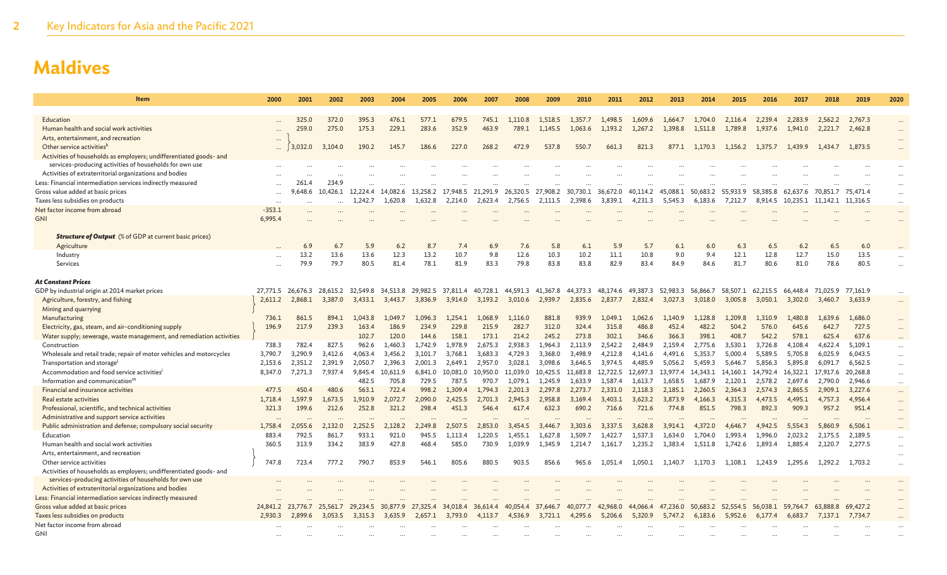| <b>Item</b>                                                          | 2000     | 2001              | 2002              | 2003              | 2004     | 2005     | 2006     | 2007     | 2008              | 2009              | 2010     | 2011     | 2012     | 2013     | 2014              | 2015              | 2016     | 2017     | 2018              | 2019     | 2020     |
|----------------------------------------------------------------------|----------|-------------------|-------------------|-------------------|----------|----------|----------|----------|-------------------|-------------------|----------|----------|----------|----------|-------------------|-------------------|----------|----------|-------------------|----------|----------|
|                                                                      |          |                   |                   |                   |          |          |          |          |                   |                   |          |          |          |          |                   |                   |          |          |                   |          |          |
| Education                                                            |          | 325.0             | 372.0             | 395.3             | 476.1    | 577.1    | 679.5    | 745.1    | 1.110.8           | 1.518.5           | 1,357.7  | 1,498.5  | 1,609.6  | 1.664.7  | 1,704.0           | 2.116.4           | 2.239.4  | 2.283.9  | 2,562.2           | 2,767.3  |          |
| Human health and social work activities                              |          | 259.0             | 275.0             | 175.3             | 229.1    | 283.6    | 352.9    | 463.9    | 789.1             | 1,145.5           | 1,063.6  | 1,193.2  | 1,267.2  | 1,398.8  | 1,511.8           | 1,789.8           | 1,937.6  | 1,941.0  | 2,221.7           | 2,462.8  |          |
| Arts, entertainment, and recreation                                  | $\cdots$ |                   |                   |                   |          |          |          |          |                   |                   |          |          |          |          |                   |                   |          |          |                   |          |          |
| Other service activities <sup>k</sup>                                | $\cdots$ | 3,032.0           | 3,104.0           | 190.2             | 145.7    | 186.6    | 227.0    | 268.2    | 472.9             | 537.8             | 550.7    | 661.3    | 821.3    | 877.1    | 1,170.3           | 1,156.2           | 1,375.7  | 1,439.9  | 1.434.7           | 1,873.5  | $\cdots$ |
| Activities of households as employers; undifferentiated goods- and   |          |                   |                   |                   |          |          |          |          |                   |                   |          |          |          |          |                   |                   |          |          |                   |          |          |
| services-producing activities of households for own use              |          |                   |                   |                   |          |          |          |          |                   |                   |          |          |          |          |                   |                   |          |          |                   |          |          |
| Activities of extraterritorial organizations and bodies              |          |                   |                   |                   |          |          |          |          |                   |                   |          |          |          |          |                   |                   |          |          |                   |          |          |
| Less: Financial intermediation services indirectly measured          |          | 261.4             | 234.9             |                   |          |          |          |          |                   |                   |          |          |          |          |                   |                   |          |          |                   |          |          |
| Gross value added at basic prices                                    |          | 9,648.6           | 10,426.1 12,224.4 |                   | 14,082.6 | 13,258.2 | 17.948.5 | 21,291.9 | 26,320.5 27,908.2 |                   | 30,730.1 | 36,672.0 | 40.114.2 | 45,088.1 | 50,683.2 55,933.9 |                   | 58,385.8 | 62,637.6 | 70.851.7          | 75,471.4 | $\cdots$ |
| Taxes less subsidies on products                                     | $\cdots$ | $\cdots$          |                   | 1,242.7           | 1,620.8  | 1,632.8  | 2,214.0  | 2.623.4  | 2,756.5           | 2,111.5           | 2.398.6  | 3.839.1  | 4.231.3  | 5.545.3  | 6.183.6           | 7,212.7           | 8.914.5  | 10.235.1 | 11.142.1          | 11,316.5 | $\cdots$ |
| Net factor income from abroad                                        | $-353.1$ | $\cdots$          |                   |                   |          |          |          |          |                   |                   |          |          |          |          |                   |                   |          |          |                   |          | $\cdots$ |
| <b>GNI</b>                                                           | 6,995.4  |                   |                   |                   |          |          |          |          |                   |                   |          |          |          |          |                   |                   |          |          |                   |          |          |
|                                                                      |          |                   |                   |                   |          |          |          |          |                   |                   |          |          |          |          |                   |                   |          |          |                   |          |          |
| <b>Structure of Output</b> (% of GDP at current basic prices)        |          |                   |                   |                   |          |          |          |          |                   |                   |          |          |          |          |                   |                   |          |          |                   |          |          |
| Agriculture                                                          |          | 6.9               | 6.7               | 5.9               | 6.2      | 8.7      | 7.4      | 6.9      | 7.6               | 5.8               | 6.1      | 5.9      | 5.7      | 6.1      | 6.0               | 6.3               | 6.5      | 6.2      | 6.5               | 6.0      |          |
| Industry                                                             |          | 13.2              | 13.6              | 13.6              | 12.3     | 13.2     | 10.7     | 9.8      | 12.6              | 10.3              | 10.2     | 11.1     | 10.8     | 9.0      | 9.4               | 12.1              | 12.8     | 12.7     | 15.0              | 13.5     |          |
| Services                                                             |          | 79.9              | 79.7              | 80.5              | 81.4     | 78.1     | 81.9     | 83.3     | 79.8              | 83.8              | 83.8     | 82.9     | 83.4     | 84.9     | 84.6              | 81.7              | 80.6     | 81.0     | 78.6              | 80.5     |          |
|                                                                      |          |                   |                   |                   |          |          |          |          |                   |                   |          |          |          |          |                   |                   |          |          |                   |          |          |
| <b>At Constant Prices</b>                                            |          |                   |                   |                   |          |          |          |          |                   |                   |          |          |          |          |                   |                   |          |          |                   |          |          |
| GDP by industrial origin at 2014 market prices                       | 27.771.5 | 26.676.3          |                   | 28.615.2 32.549.8 | 34.513.8 | 29,982.5 | 37,811.4 | 40,728.1 | 44,591.3 41,367.8 |                   | 44,373.3 | 48,174.6 | 49.387.3 | 52.983.3 | 56.866.7          | 58.507.1          | 62.215.5 |          | 66,448.4 71,025.9 | 77.161.9 |          |
| Agriculture, forestry, and fishing                                   | 2,611.2  | 2,868.1           | 3,387.0           | 3,433.1           | 3,443.7  | 3,836.9  | 3,914.0  | 3,193.2  | 3,010.6           | 2,939.7           | 2,835.6  | 2,837.7  | 2,832.4  | 3,027.3  | 3,018.0           | 3,005.8           | 3,050.1  |          | 3,302.0 3,460.7   | 3,633.9  |          |
| Mining and quarrying                                                 |          |                   |                   |                   |          |          |          |          |                   |                   |          |          |          |          |                   |                   |          |          |                   |          |          |
| Manufacturing                                                        | 736.1    | 861.5             | 894.1             | 1,043.8           | 1,049.7  | 1,096.3  | 1,254.1  | 1,068.9  | 1,116.0           | 881.8             | 939.9    | 1,049.1  | 1,062.6  | 1,140.9  | 1,128.8           | 1,209.8           | 1.310.9  | 1,480.8  | 1,639.6           | 1,686.0  |          |
| Electricity, gas, steam, and air-conditioning supply                 | 196.9    | 217.9             | 239.3             | 163.4             | 186.9    | 234.9    | 229.8    | 215.9    | 282.7             | 312.0             | 324.4    | 315.8    | 486.8    | 452.4    | 482.2             | 504.2             | 576.0    | 645.6    | 642.7             | 727.5    |          |
| Water supply; sewerage, waste management, and remediation activities |          |                   |                   | 102.7             | 120.0    | 144.6    | 158.1    | 173.1    | 214.2             | 245.2             | 273.8    | 302.1    | 346.6    | 366.3    | 398.1             | 408.7             | 542.2    | 578.1    | 625.4             | 637.6    |          |
| Construction                                                         | 738.3    | 782.4             | 827.5             | 962.6             | 1,460.3  | 1,742.9  | 1,978.9  | 2,675.3  | 2,938.3           | 1,964.3           | 2.113.9  | 2.542.2  | 2.484.9  | 2,159.4  | 2,775.6           | 3,530.1           | 3,726.8  | 4,108.4  | 4,622.4           | 5,109.1  |          |
| Wholesale and retail trade; repair of motor vehicles and motorcycles | 3,790.7  | 3,290.9           | 3,412.6           | 4,063.4           | 3,456.2  | 3,101.7  | 3,768.1  | 3,683.3  | 4,729.3           | 3,368.0           | 3,498.9  | 4,212.8  | 4,141.6  | 4,491.6  | 5,353.7           | 5,000.4           | 5,589.5  | 5,705.8  | 6,025.9           | 6,043.5  | $\cdots$ |
| Transportation and storage                                           | 2,153.6  | 2,351.2           | 2,391.9           | 2,050.7           | 2,396.3  | 2,001.3  | 2,649.1  | 2,957.0  | 3,028.1           | 3,098.6           | 3,646.5  | 3,974.5  | 4,485.9  | 5,056.2  | 5,459.3           | 5,646.7           | 5,856.3  | 5,895.8  | 6,091.7           | 6,562.5  | $\cdots$ |
| Accommodation and food service activities <sup>i</sup>               | 8.347.0  | 7.271.3           | 7.937.4           | 9,845.4           | 10.611.9 | 6.841.0  | 10,081.0 | 10.950.0 |                   | 11,039.0 10,425.5 | 11,683.8 | 12,722.5 | 12,697.3 | 13.977.4 | 14,343.1 14,160.1 |                   | 14,792.4 | 16,322.1 | 17,917.6          | 20,268.8 | $\cdots$ |
| Information and communication <sup>m</sup>                           |          |                   |                   | 482.5             | 705.8    | 729.5    | 787.5    | 970.7    | 1.079.1           | 1.245.9           | 1.633.9  | 1.587.4  | 1.613.7  | 1.658.5  | 1.687.9           | 2,120.1           | 2,578.2  | 2.697.6  | 2,790.0           | 2,946.6  | $\cdots$ |
| Financial and insurance activities                                   | 477.5    | 450.4             | 480.6             | 563.1             | 722.4    | 998.2    | 1,309.4  | 1.794.3  | 2,201.3           | 2,297.8           | 2,273.7  | 2,331.0  | 2,118.3  | 2,185.1  | 2,260.5           | 2,364.3           | 2,574.3  | 2,865.5  | 2,909.1           | 3,227.6  | $\cdots$ |
| Real estate activities                                               | 1,718.4  | 1.597.9           | 1.673.5           | 1.910.9           | 2.072.7  | 2.090.0  | 2,425.5  | 2.701.3  | 2,945.3           | 2,958.8           | 3.169.4  | 3,403.1  | 3,623.2  | 3.873.9  | 4,166.3           | 4,315.3           | 4,473.5  | 4.495.1  | 4,757.3           | 4,956.4  |          |
| Professional, scientific, and technical activities                   | 321.3    | 199.6             | 212.6             | 252.8             | 321.2    | 298.4    | 451.3    | 546.4    | 617.4             | 632.3             | 690.2    | 716.6    | 721.6    | 774.8    | 851.5             | 798.3             | 892.3    | 909.3    | 957.2             | 951.4    |          |
| Administrative and support service activities                        |          | $\cdots$          |                   |                   |          |          |          |          |                   |                   |          |          |          |          |                   |                   |          |          |                   |          |          |
| Public administration and defense; compulsory social security        | 1,758.4  | 2,055.6           | 2,132.0           | 2,252.5           | 2,128.2  | 2,249.8  | 2,507.5  | 2,853.0  | 3,454.5           | 3,446.7           | 3,303.6  | 3,337.5  | 3,628.8  | 3,914.1  | 4,372.0           | 4,646.7           | 4,942.5  | 5,554.3  | 5,860.9           | 6,506.1  |          |
| Education                                                            | 883.4    | 792.5             | 861.7             | 933.1             | 921.0    | 945.5    | 1,113.4  | 1,220.5  | 1,455.1           | 1,627.8           | 1,509.7  | 1,422.7  | 1,537.3  | 1,634.0  | 1.704.0           | 1,993.4           | 1,996.0  | 2,023.2  | 2,175.5           | 2,189.5  | $\cdots$ |
| Human health and social work activities                              | 360.5    | 313.9             | 334.2             | 383.9             | 427.8    | 468.4    | 585.0    | 730.9    | 1,039.9           | 1,345.9           | 1,214.7  | 1,161.7  | 1,235.2  | 1,383.4  | 1,511.8           | 1,742.6           | 1,893.4  | 1,885.4  | 2,120.7           | 2,277.5  | $\cdots$ |
| Arts, entertainment, and recreation                                  |          |                   |                   |                   |          |          |          |          |                   |                   |          |          |          |          |                   |                   |          |          |                   |          |          |
| Other service activities                                             | 747.8    | 723.4             | 777.2             | 790.7             | 853.9    | 546.1    | 805.6    | 880.5    | 903.5             | 856.6             | 965.6    | 1.051.4  | 1.050.1  | 1.140.7  | 1.170.3           | 1,108.1           | 1.243.9  | 1.295.6  | 1,292.2           | 1,703.2  | $\cdots$ |
| Activities of households as employers; undifferentiated goods- and   |          |                   |                   |                   |          |          |          |          |                   |                   |          |          |          |          |                   |                   |          |          |                   |          |          |
| services-producing activities of households for own use              |          |                   |                   |                   |          |          |          |          |                   |                   |          |          |          |          |                   |                   |          |          |                   |          |          |
| Activities of extraterritorial organizations and bodies              |          |                   |                   |                   |          |          |          |          |                   |                   |          |          |          |          |                   |                   |          |          |                   |          |          |
| Less: Financial intermediation services indirectly measured          |          |                   |                   |                   |          |          |          |          |                   |                   |          |          |          |          |                   |                   |          |          |                   |          |          |
| Gross value added at basic prices                                    |          | 24,841.2 23,776.7 | 25,561.7          | 29,234.5          | 30,877.9 | 27,325.4 | 34,018.4 | 36,614.4 | 40,054.4          | 37,646.7          | 40,077.7 | 42,968.0 | 44,066.4 | 47,236.0 |                   | 50,683.2 52,554.5 | 56,038.1 | 59,764.7 | 63,888.8          | 69,427.2 |          |
| Taxes less subsidies on products                                     | 2.930.3  | 2.899.6           | 3.053.5           | 3.315.3           | 3.635.9  |          | 3.793.0  | 4.113.7  | 4.536.9           | 3.721.1           | 4,295.6  | 5,206.6  | 5.320.9  | 5.747.2  | 6.183.6           | 5,952.6           | 6.177.4  | 6.683.7  |                   | 7.734.7  |          |
| Net factor income from abroad                                        |          |                   |                   |                   |          |          |          |          |                   |                   |          |          |          |          |                   |                   |          |          |                   |          |          |
| <b>GNI</b>                                                           |          |                   |                   |                   |          |          |          |          |                   |                   |          |          |          |          |                   |                   |          |          |                   |          |          |
|                                                                      |          |                   |                   |                   |          |          |          |          |                   |                   |          |          |          |          |                   |                   |          |          |                   |          |          |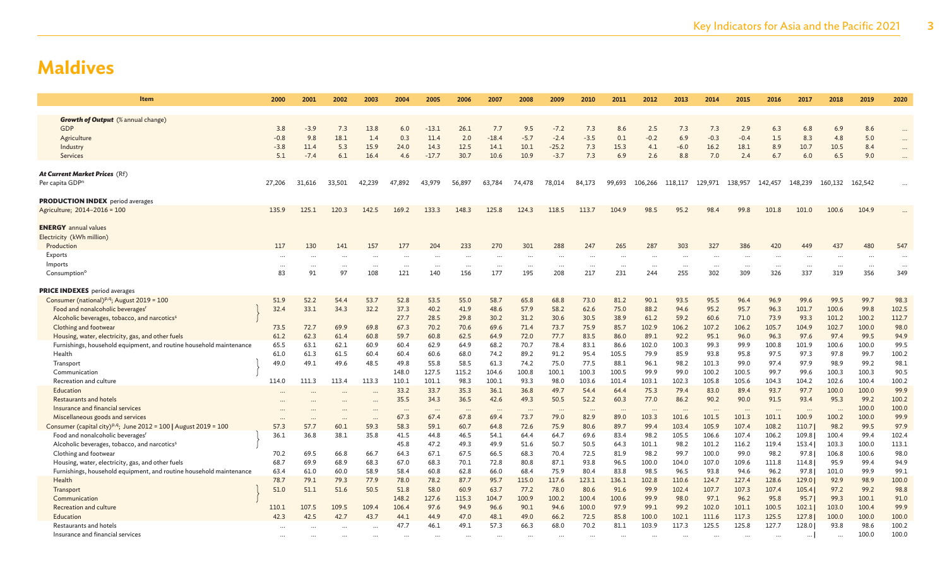| Item                                                                         | 2000     | 2001      | 2002      | 2003     | 2004      | 2005     | 2006     | 2007     | 2008                     | 2009      | 2010     | 2011     | 2012      | 2013     | 2014     | 2015     | 2016     | 2017      | 2018                 | 2019    | 2020      |
|------------------------------------------------------------------------------|----------|-----------|-----------|----------|-----------|----------|----------|----------|--------------------------|-----------|----------|----------|-----------|----------|----------|----------|----------|-----------|----------------------|---------|-----------|
|                                                                              |          |           |           |          |           |          |          |          |                          |           |          |          |           |          |          |          |          |           |                      |         |           |
| <b>Growth of Output</b> (% annual change)                                    |          |           |           |          |           |          |          |          |                          |           |          |          |           |          |          |          |          |           |                      |         |           |
| <b>GDP</b>                                                                   | 3.8      | $-3.9$    | 7.3       | 13.8     | 6.0       | $-13.1$  | 26.1     | 7.7      | 9.5                      | $-7.2$    | 7.3      | 8.6      | 2.5       | 7.3      | 7.3      | 2.9      | 6.3      | 6.8       | 6.9                  | 8.6     |           |
| Agriculture                                                                  | $-0.8$   | 9.8       | 18.1      | 1.4      | 0.3       | 11.4     | 2.0      | $-18.4$  | $-5.7$                   | $-2.4$    | $-3.5$   | 0.1      | $-0.2$    | 6.9      | $-0.3$   | $-0.4$   | 1.5      | 8.3       | 4.8                  | 5.0     |           |
| Industry                                                                     | $-3.8$   | 11.4      | 5.3       | 15.9     | 24.0      | 14.3     | 12.5     | 14.1     | 10.1                     | $-25.2$   | 7.3      | 15.3     | 4.1       | $-6.0$   | 16.2     | 18.1     | 8.9      | 10.7      | 10.5                 | 8.4     |           |
| <b>Services</b>                                                              | 5.1      | $-7.4$    | 6.1       | 16.4     | 4.6       | $-17.7$  | 30.7     | 10.6     | 10.9                     | $-3.7$    | 7.3      | 6.9      | 2.6       | 8.8      | 7.0      | 2.4      | 6.7      | 6.0       | 6.5                  | 9.0     |           |
|                                                                              |          |           |           |          |           |          |          |          |                          |           |          |          |           |          |          |          |          |           |                      |         |           |
| At Current Market Prices (Rf)                                                |          |           |           |          |           |          |          |          |                          |           |          |          |           |          |          |          |          |           |                      |         |           |
| Per capita GDP <sup>n</sup>                                                  | 27,206   | 31,616    | 33,501    | 42,239   | 47,892    | 43,979   | 56,897   | 63,784   | 74,478                   | 78,014    | 84,173   | 99,693   | 106,266   | 118,117  | 129,971  | 138,957  | 142,457  | 148,239   | 160,132              | 162,542 |           |
| <b>PRODUCTION INDEX</b> period averages                                      |          |           |           |          |           |          |          |          |                          |           |          |          |           |          |          |          |          |           |                      |         |           |
| Agriculture; 2014-2016 = 100                                                 | 135.9    | 125.1     | 120.3     | 142.5    | 169.2     | 133.3    | 148.3    | 125.8    | 124.3                    | 118.5     | 113.7    | 104.9    | 98.5      | 95.2     | 98.4     | 99.8     | 101.8    | 101.0     | 100.6                | 104.9   |           |
|                                                                              |          |           |           |          |           |          |          |          |                          |           |          |          |           |          |          |          |          |           |                      |         |           |
| <b>ENERGY</b> annual values                                                  |          |           |           |          |           |          |          |          |                          |           |          |          |           |          |          |          |          |           |                      |         |           |
| Electricity (kWh million)                                                    |          |           |           |          |           |          |          |          |                          |           |          |          |           |          |          |          |          |           |                      |         |           |
| Production                                                                   | 117      | 130       | 141       | 157      | 177       | 204      | 233      | 270      | 301                      | 288       | 247      | 265      | 287       | 303      | 327      | 386      | 420      | 449       | 437                  | 480     | 547       |
| Exports                                                                      | $\cdots$ |           | $\cdots$  | $\cdots$ | $\cdots$  |          | $\cdots$ | $\cdots$ | $\cdots$                 | $\cdots$  | $\cdots$ | $\cdots$ | $\cdots$  | $\cdots$ |          | $\cdots$ | $\cdots$ |           | $\cdots$             |         | $\cdots$  |
| Imports                                                                      | $\cdots$ |           | $\ddots$  |          | $\cdots$  |          | $\cdots$ | $\cdots$ | $\cdots$                 | $\cdots$  | $\cdots$ | $\cdots$ | $\cdots$  | $\cdots$ | $\cdots$ | $\cdots$ | $\cdots$ | $\cdots$  | .                    |         | $\ddotsc$ |
| Consumption <sup>c</sup>                                                     | 83       | 91        | 97        | 108      | 121       | 140      | 156      | 177      | 195                      | 208       | 217      | 231      | 244       | 255      | 302      | 309      | 326      | 337       | 319                  | 356     | 349       |
|                                                                              |          |           |           |          |           |          |          |          |                          |           |          |          |           |          |          |          |          |           |                      |         |           |
| <b>PRICE INDEXES</b> period averages                                         |          |           |           |          |           |          |          |          |                          |           |          |          |           |          |          |          |          |           |                      |         |           |
| Consumer (national) <sup>p,q</sup> ; August 2019 = 100                       | 51.9     | 52.2      | 54.4      | 53.7     | 52.8      | 53.5     | 55.0     | 58.7     | 65.8                     | 68.8      | 73.0     | 81.2     | 90.1      | 93.5     | 95.5     | 96.4     | 96.9     | 99.6      | 99.5                 | 99.7    | 98.3      |
| Food and nonalcoholic beverages <sup>r</sup>                                 | 32.4     | 33.1      | 34.3      | 32.2     | 37.3      | 40.2     | 41.9     | 48.6     | 57.9                     | 58.2      | 62.6     | 75.0     | 88.2      | 94.6     | 95.2     | 95.7     | 96.3     | 101.7     | 100.6                | 99.8    | 102.5     |
| Alcoholic beverages, tobacco, and narcotics <sup>s</sup>                     |          |           |           |          | 27.7      | 28.5     | 29.8     | 30.2     | 31.2                     | 30.6      | 30.5     | 38.9     | 61.2      | 59.2     | 60.6     | 71.0     | 73.9     | 93.3      | 101.2                | 100.2   | 112.7     |
| Clothing and footwear                                                        | 73.5     | 72.7      | 69.9      | 69.8     | 67.3      | 70.2     | 70.6     | 69.6     | 71.4                     | 73.7      | 75.9     | 85.7     | 102.9     | 106.2    | 107.2    | 106.2    | 105.7    | 104.9     | 102.7                | 100.0   | 98.0      |
| Housing, water, electricity, gas, and other fuels                            | 61.2     | 62.3      | 61.4      | 60.8     | 59.7      | 60.8     | 62.5     | 64.9     | 72.0                     | 77.7      | 83.5     | 86.0     | 89.1      | 92.2     | 95.1     | 96.0     | 96.3     | 97.6      | 97.4                 | 99.5    | 94.9      |
| Furnishings, household equipment, and routine household maintenance          | 65.5     | 63.1      | 62.1      | 60.9     | 60.4      | 62.9     | 64.9     | 68.2     | 70.7                     | 78.4      | 83.1     | 86.6     | 102.0     | 100.3    | 99.3     | 99.9     | 100.8    | 101.9     | 100.6                | 100.0   | 99.5      |
| Health                                                                       | 61.0     | 61.3      | 61.5      | 60.4     | 60.4      | 60.6     | 68.0     | 74.2     | 89.2                     | 91.2      | 95.4     | 105.5    | 79.9      | 85.9     | 93.8     | 95.8     | 97.5     | 97.3      | 97.8                 | 99.7    | 100.2     |
| Transport                                                                    | 49.0     | 49.1      | 49.6      | 48.5     | 49.8      | 55.8     | 58.5     | 61.3     | 74.2                     | 75.0      | 77.5     | 88.1     | 96.1      | 98.2     | 101.3    | 99.0     | 97.4     | 97.9      | 98.9                 | 99.2    | 98.1      |
| Communication                                                                |          |           |           |          | 148.0     | 127.5    | 115.2    | 104.6    | 100.8                    | 100.1     | 100.3    | 100.5    | 99.9      | 99.0     | 100.2    | 100.5    | 99.7     | 99.6      | 100.3                | 100.3   | 90.5      |
| Recreation and culture                                                       | 114.0    | 111.3     | 113.4     | 113.3    | 110.1     | 101.1    | 98.3     | 100.1    | 93.3                     | 98.0      | 103.6    | 101.4    | 103.1     | 102.3    | 105.8    | 105.6    | 104.3    | 104.2     | 102.6                | 100.4   | 100.2     |
| Education                                                                    |          |           |           |          | 33.2      | 33.7     | 35.3     | 36.1     | 36.8                     | 49.7      | 54.4     | 64.4     | 75.3      | 79.4     | 83.0     | 89.4     | 93.7     | 97.7      | 100.0                | 100.0   | 99.9      |
| Restaurants and hotels                                                       |          |           |           |          | 35.5      | 34.3     | 36.5     | 42.6     | 49.3                     | 50.5      | 52.2     | 60.3     | 77.0      | 86.2     | 90.2     | 90.0     | 91.5     | 93.4      | 95.3                 | 99.2    | 100.2     |
| Insurance and financial services                                             |          |           |           |          | $\ddotsc$ | $\cdots$ | $\cdots$ | $\cdots$ | $\overline{\phantom{a}}$ | $\ddotsc$ | $\cdots$ | $\cdots$ | $\ddotsc$ | $\cdots$ | $\cdots$ | $\cdots$ | $\cdots$ | $\ddotsc$ | $\ddot{\phantom{a}}$ | 100.0   | 100.0     |
| Miscellaneous goods and services                                             |          | $\ddotsc$ | $\ddotsc$ |          | 67.3      | 67.4     | 67.8     | 69.4     | 73.7                     | 79.0      | 82.9     | 89.0     | 103.3     | 101.6    | 101.5    | 101.3    | 101.1    | 100.9     | 100.2                | 100.0   | 99.9      |
| Consumer (capital city) <sup>p,q</sup> ; June 2012 = 100   August 2019 = 100 | 57.3     | 57.7      | 60.1      | 59.3     | 58.3      | 59.1     | 60.7     | 64.8     | 72.6                     | 75.9      | 80.6     | 89.7     | 99.4      | 103.4    | 105.9    | 107.4    | 108.2    | 110.7     | 98.2                 | 99.5    | 97.9      |
| Food and nonalcoholic beverages <sup>r</sup>                                 | 36.1     | 36.8      | 38.1      | 35.8     | 41.5      | 44.8     | 46.5     | 54.1     | 64.4                     | 64.7      | 69.6     | 83.4     | 98.2      | 105.5    | 106.6    | 107.4    | 106.2    | 109.8     | 100.4                | 99.4    | 102.4     |
| Alcoholic beverages, tobacco, and narcotics <sup>s</sup>                     |          |           |           |          | 45.8      | 47.2     | 49.3     | 49.9     | 51.6                     | 50.7      | 50.5     | 64.3     | 101.1     | 98.2     | 101.2    | 116.2    | 119.4    | 153.4     | 103.3                | 100.0   | 113.1     |
| Clothing and footwear                                                        | 70.2     | 69.5      | 66.8      | 66.7     | 64.3      | 67.1     | 67.5     | 66.5     | 68.3                     | 70.4      | 72.5     | 81.9     | 98.2      | 99.7     | 100.0    | 99.0     | 98.2     | 97.8      | 106.8                | 100.6   | 98.0      |
| Housing, water, electricity, gas, and other fuels                            | 68.7     | 69.9      | 68.9      | 68.3     | 67.0      | 68.3     | 70.1     | 72.8     | 80.8                     | 87.1      | 93.8     | 96.5     | 100.0     | 104.0    | 107.0    | 109.6    | 111.8    | 114.8     | 95.9                 | 99.4    | 94.9      |
| Furnishings, household equipment, and routine household maintenance          | 63.4     | 61.0      | 60.0      | 58.9     | 58.4      | 60.8     | 62.8     | 66.0     | 68.4                     | 75.9      | 80.4     | 83.8     | 98.5      | 96.5     | 93.8     | 94.6     | 96.2     | 97.8      | 101.0                | 99.9    | 99.1      |
| Health                                                                       | 78.7     | 79.1      | 79.3      | 77.9     | 78.0      | 78.2     | 87.7     | 95.7     | 115.0                    | 117.6     | 123.1    | 136.1    | 102.8     | 110.6    | 124.7    | 127.4    | 128.6    | 129.0     | 92.9                 | 98.9    | 100.0     |
| Transport                                                                    | 51.0     | 51.1      | 51.6      | 50.5     | 51.8      | 58.0     | 60.9     | 63.7     | 77.2                     | 78.0      | 80.6     | 91.6     | 99.9      | 102.4    | 107.7    | 107.3    | 107.4    | 105.4     | 97.2                 | 99.2    | 98.8      |
| Communication                                                                |          |           |           |          | 148.2     | 127.6    | 115.3    | 104.7    | 100.9                    | 100.2     | 100.4    | 100.6    | 99.9      | 98.0     | 97.1     | 96.2     | 95.8     | 95.7      | 99.3                 | 100.1   | 91.0      |
| <b>Recreation and culture</b>                                                | 110.1    | 107.5     | 109.5     | 109.4    | 106.4     | 97.6     | 94.9     | 96.6     | 90.1                     | 94.6      | 100.0    | 97.9     | 99.1      | 99.2     | 102.0    | 101.1    | 100.5    | 102.1     | 103.0                | 100.4   | 99.9      |
| Education                                                                    | 42.3     | 42.5      | 42.7      | 43.7     | 44.1      | 44.9     | 47.0     | 48.1     | 49.0                     | 66.2      | 72.5     | 85.8     | 100.0     | 102.1    | 111.6    | 117.3    | 125.5    | 127.8     | 100.0                | 100.0   | 100.0     |
| Restaurants and hotels                                                       |          |           |           |          | 47.7      | 46.1     | 49.1     | 57.3     | 66.3                     | 68.0      | 70.2     | 81.1     | 103.9     | 117.3    | 125.5    | 125.8    | 127.7    | 128.0     | 93.8                 | 98.6    | 100.2     |
| Insurance and financial services                                             |          |           |           |          |           |          |          |          |                          |           |          |          |           |          |          |          |          | $\cdots$  | $\cdots$             | 100.0   | 100.0     |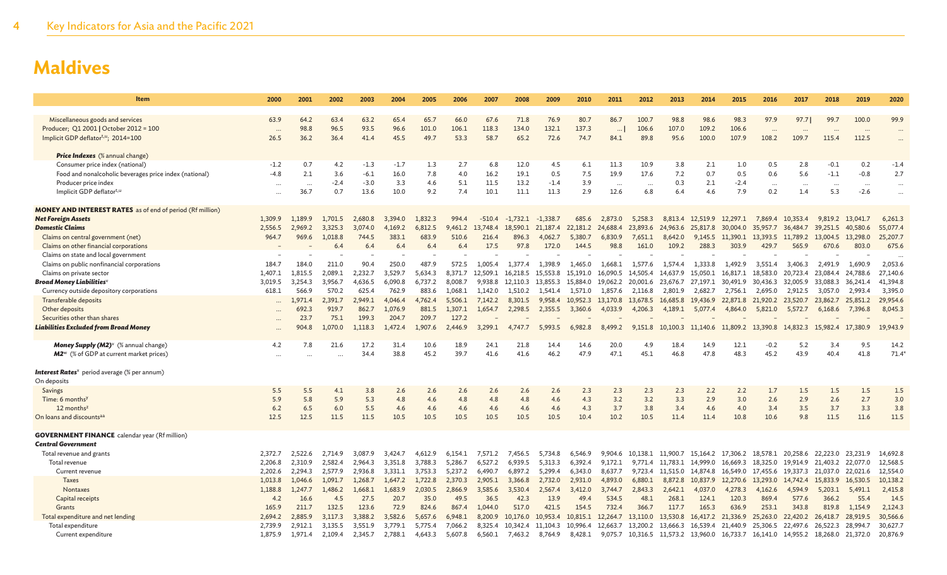| Item                                                                           | 2000                 | 2001               | 2002               | 2003               | 2004               | 2005               | 2006               | 2007               | 2008               | 2009                | 2010                | 2011                | 2012                | 2013                | 2014                | 2015                                                                   | 2016                 | 2017                 | 2018                       | 2019                 | 2020                  |
|--------------------------------------------------------------------------------|----------------------|--------------------|--------------------|--------------------|--------------------|--------------------|--------------------|--------------------|--------------------|---------------------|---------------------|---------------------|---------------------|---------------------|---------------------|------------------------------------------------------------------------|----------------------|----------------------|----------------------------|----------------------|-----------------------|
| Miscellaneous goods and services                                               | 63.9                 | 64.2               | 63.4               | 63.2               | 65.4               | 65.7               | 66.0               | 67.6               | 71.8               | 76.9                | 80.7                | 86.7                | 100.7               | 98.8                | 98.6                | 98.3                                                                   | 97.9                 | 97.7                 | 99.7                       | 100.0                | 99.9                  |
| Producer; Q1 2001   October 2012 = 100                                         | $\cdots$             | 98.8               | 96.5               | 93.5               | 96.6               | 101.0              | 106.1              | 118.3              | 134.0              | 132.1               | 137.3               | $\cdots$            | 106.6               | 107.0               | 109.2               | 106.6                                                                  | $\ddotsc$            | $\ddotsc$            |                            |                      | $\ddots$              |
| Implicit GDP deflator <sup>t,u</sup> ; 2014=100                                | 26.5                 | 36.2               | 36.4               | 41.4               | 45.5               | 49.7               | 53.3               | 58.7               | 65.2               | 72.6                | 74.7                | 84.1                | 89.8                | 95.6                | 100.0               | 107.9                                                                  | 108.2                | 109.7                | 115.4                      | 112.5                | $\ddots$              |
|                                                                                |                      |                    |                    |                    |                    |                    |                    |                    |                    |                     |                     |                     |                     |                     |                     |                                                                        |                      |                      |                            |                      |                       |
| <b>Price Indexes</b> (% annual change)                                         |                      |                    |                    |                    |                    |                    |                    |                    |                    |                     |                     |                     |                     |                     |                     |                                                                        |                      |                      |                            |                      |                       |
| Consumer price index (national)                                                | $-1.2$               | 0.7                | 4.2                | $-1.3$             | $-1.7$             | 1.3                | 2.7                | 6.8                | 12.0               | 4.5                 | 6.1                 | 11.3                | 10.9                | 3.8                 | 2.1                 | 1.0                                                                    | 0.5                  | 2.8                  | $-0.1$                     | 0.2                  | $-1.4$                |
| Food and nonalcoholic beverages price index (national)<br>Producer price index | $-4.8$               | 2.1                | 3.6<br>$-2.4$      | $-6.1$<br>$-3.0$   | 16.0<br>3.3        | 7.8<br>4.6         | 4.0<br>5.1         | 16.2<br>11.5       | 19.1<br>13.2       | 0.5<br>$-1.4$       | 7.5<br>3.9          | 19.9                | 17.6                | 7.2<br>0.3          | 0.7<br>2.1          | 0.5<br>$-2.4$                                                          | 0.6                  | 5.6                  | $-1.1$                     | $-0.8$               | 2.7                   |
| Implicit GDP deflator <sup>t,u</sup>                                           | $\ddot{\phantom{a}}$ | $\cdots$<br>36.7   | 0.7                | 13.6               | 10.0               | 9.2                | 7.4                | 10.1               | 11.1               | 11.3                | 2.9                 | $\cdots$<br>12.6    | $\ddots$<br>6.8     | 6.4                 | 4.6                 | 7.9                                                                    | $\cdots$<br>0.2      | $\cdots$<br>1.4      | $\cdots$<br>5.3            | $\cdots$<br>$-2.6$   | $\cdots$<br>$\ddotsc$ |
|                                                                                |                      |                    |                    |                    |                    |                    |                    |                    |                    |                     |                     |                     |                     |                     |                     |                                                                        |                      |                      |                            |                      |                       |
| <b>MONEY AND INTEREST RATES</b> as of end of period (Rf million)               |                      |                    |                    |                    |                    |                    |                    |                    |                    |                     |                     |                     |                     |                     |                     |                                                                        |                      |                      |                            |                      |                       |
| <b>Net Foreign Assets</b>                                                      | 1,309.9              | 1,189.9            | 1,701.5            | 2,680.8            | 3,394.0            | 1,832.3            | 994.4              | $-510.4$           | $-1,732.1$         | $-1,338.7$          | 685.6               | 2,873.0             | 5,258.3             | 8,813.4             |                     | 12,519.9 12,297.1                                                      | 7,869.4              | 10.353.4             | 9.819.2                    | 13,041.7             | 6,261.3               |
| <b>Domestic Claims</b><br>Claims on central government (net)                   | 2,556.5<br>964.7     | 2.969.2<br>969.6   | 3.325.3<br>1,018.8 | 3.074.0<br>744.5   | 4.169.2<br>383.1   | 6.812.5<br>683.9   | 9.461.2<br>510.6   | 13,748.4<br>216.4  | 18,590.1           | 21,187.4<br>4,062.7 | 22,181.2<br>5,380.7 | 24,688.4<br>6,830.9 | 23,893.6<br>7,651.1 | 24,963.6<br>8,642.0 |                     | 25,817.8 30,004.0<br>9,145.5 11,390.1                                  | 35,957.7<br>13,393.5 | 36,484.7<br>11,789.2 | 39.251.5<br>13,004.5       | 40,580.6<br>13,298.0 | 55,077.4<br>25,207.7  |
| Claims on other financial corporations                                         |                      |                    | 6.4                | 6.4                | 6.4                | 6.4                | 6.4                | 17.5               | 896.3<br>97.8      | 172.0               | 144.5               | 98.8                | 161.0               | 109.2               | 288.3               | 303.9                                                                  | 429.7                | 565.9                | 670.6                      | 803.0                | 675.6                 |
| Claims on state and local government                                           |                      |                    |                    |                    |                    |                    |                    |                    |                    |                     |                     |                     |                     |                     |                     |                                                                        |                      |                      |                            |                      | $\cdots$              |
| Claims on public nonfinancial corporations                                     | 184.7                | 184.0              | 211.0              | 90.4               | 250.0              | 487.9              | 572.5              | 1,005.4            | 1.377.4            | 1,398.9             | 1,465.0             | 1,668.1             | 1,577.6             | 1,574.4             | 1,333.8             | 1.492.9                                                                | 3.551.4              | 3,406.3              | 2,491.9                    | 1.690.9              | 2,053.6               |
| Claims on private sector                                                       | 1,407.1              | 1,815.5            | 2,089.1            | 2,232.7            | 3,529.7            | 5,634.3            | 8,371.7            | 12.509.1           | 16,218.5           | 15,553.8            | 15,191.0            | 16,090.5            | 14,505.4            | 14,637.9            | 15,050.1            | 16,817.1                                                               | 18.583.0             | 20,723.4             | 23,084.4                   | 24,788.6             | 27,140.6              |
| <b>Broad Money Liabilities</b>                                                 | 3,019.5              | 3,254.3            | 3,956.7            | 4,636.5            | 6.090.8            | 6,737.2            | 8,008.7            | 9.938.8            | 12,110.3           | 13,855.3            | 15,884.0            | 19,062.2 20,001.6   |                     | 23,676.7            |                     | 27,197.1 30,491.9                                                      | 30,436.3             | 32,005.9             | 33,088.3                   | 36,241.4             | 41,394.8              |
| Currency outside depository corporations                                       | 618.1                | 566.9              | 570.2              | 625.4              | 762.9              | 883.6              | 1.068.1            | 1.142.0            | 1.510.2            | 1.541.4             | 1.571.0             | 1,857.6             | 2,116.8             | 2.801.9             | 2.682.7             | 2.756.1                                                                | 2,695.0              | 2.912.5              | 3.057.0                    | 2,993.4              | 3,395.0               |
| Transferable deposits<br>Other deposits                                        |                      | 1.971.4<br>692.3   | 2,391.7<br>919.7   | 2.949.1<br>862.7   | 4,046.4<br>1.076.9 | 4,762.4<br>881.5   | 5,506.1<br>1,307.1 | 7,142.2<br>1,654.7 | 8,301.5<br>2,298.5 | 9,958.4<br>2,355.5  | 10,952.3<br>3,360.6 | 13,170.8<br>4,033.9 | 13,678.5<br>4,206.3 | 16,685.8<br>4,189.1 | 19,436.9<br>5,077.4 | 22,871.8<br>4,864.0                                                    | 21,920.2<br>5,821.0  | 23,520.7<br>5,572.7  | 23,862.7<br>6,168.6        | 25,851.2<br>7,396.8  | 29,954.6<br>8,045.3   |
| Securities other than shares                                                   | $\cdots$             | 23.7               | 75.1               | 199.3              | 204.7              | 209.7              | 127.2              |                    |                    |                     |                     |                     |                     |                     |                     |                                                                        |                      |                      |                            |                      |                       |
| <b>Liabilities Excluded from Broad Money</b>                                   |                      | 904.8              | 1.070.0            | 1,118.3            | 1.472.4            | 1,907.6            | 2.446.9            | 3.299.1            | 4,747.7            | 5,993.5             | 6,982.8             | 8,499.2             |                     |                     |                     | 9,151.8 10,100.3 11,140.6 11,809.2 13,390.8                            |                      |                      | 14,832.3 15,982.4 17,380.9 |                      | 19,943.9              |
|                                                                                |                      |                    |                    |                    |                    |                    |                    |                    |                    |                     |                     |                     |                     |                     |                     |                                                                        |                      |                      |                            |                      |                       |
| Money Supply (M2) <sup>v</sup> (% annual change)                               | 4.2                  | 7.8                | 21.6               | 17.2               | 31.4               | 10.6               | 18.9               | 24.1               | 21.8               | 14.4                | 14.6                | 20.0                | 4.9                 | 18.4                | 14.9                | 12.1                                                                   | $-0.2$               | 5.2                  | 3.4                        | 9.5                  | 14.2                  |
| <b>M2</b> <sup>w</sup> (% of GDP at current market prices)                     | $\cdots$             |                    |                    | 34.4               | 38.8               | 45.2               | 39.7               | 41.6               | 41.6               | 46.2                | 47.9                | 47.1                | 45.1                | 46.8                | 47.8                | 48.3                                                                   | 45.2                 | 43.9                 | 40.4                       | 41.8                 | 71.4                  |
| <b>Interest Rates</b> <sup>x</sup> period average (% per annum)                |                      |                    |                    |                    |                    |                    |                    |                    |                    |                     |                     |                     |                     |                     |                     |                                                                        |                      |                      |                            |                      |                       |
| On deposits                                                                    |                      |                    |                    |                    |                    |                    |                    |                    |                    |                     |                     |                     |                     |                     |                     |                                                                        |                      |                      |                            |                      |                       |
| Savings                                                                        | 5.5                  | 5.5                | 4.1                | 3.8                | 2.6                | 2.6                | 2.6                | 2.6                | 2.6                | 2.6                 | 2.3                 | 2.3                 | 2.3                 | 2.3                 | 2.2                 | 2.2                                                                    | 1.7                  | 1.5                  | 1.5                        | 1.5                  | 1.5                   |
| Time: 6 months <sup>y</sup>                                                    | 5.9                  | 5.8                | 5.9                | 5.3                | 4.8                | 4.6                | 4.8                | 4.8                | 4.8                | 4.6                 | 4.3                 | 3.2                 | 3.2                 | 3.3                 | 2.9                 | 3.0                                                                    | 2.6                  | 2.9                  | 2.6                        | 2.7                  | 3.0                   |
| $12$ months <sup>z</sup>                                                       | 6.2                  | 6.5                | 6.0                | 5.5                | 4.6                | 4.6                | 4.6                | 4.6                | 4.6                | 4.6                 | 4.3                 | 3.7                 | 3.8                 | 3.4                 | 4.6                 | 4.0                                                                    | 3.4                  | 3.5                  | 3.7                        | 3.3                  | 3.8                   |
| On loans and discounts <sup>aa</sup>                                           | 12.5                 | 12.5               | 11.5               | 11.5               | 10.5               | 10.5               | 10.5               | 10.5               | 10.5               | 10.5                | 10.4                | 10.2                | 10.5                | 11.4                | 11.4                | 10.8                                                                   | 10.6                 | 9.8                  | 11.5                       | 11.6                 | 11.5                  |
| <b>GOVERNMENT FINANCE</b> calendar year (Rf million)                           |                      |                    |                    |                    |                    |                    |                    |                    |                    |                     |                     |                     |                     |                     |                     |                                                                        |                      |                      |                            |                      |                       |
| <b>Central Government</b>                                                      |                      |                    |                    |                    |                    |                    |                    |                    |                    |                     |                     |                     |                     |                     |                     |                                                                        |                      |                      |                            |                      |                       |
| Total revenue and grants                                                       | 2,372.7              | 2,522.6            | 2,714.9            | 3,087.9            | 3,424.7            | 4,612.9            | 6,154.1            | 7,571.2            | 7,456.5            | 5,734.8             | 6,546.9             | 9.904.6             | 10,138.1            | 11,900.7            |                     | 15,164.2 17,306.2                                                      | 18,578.1             | 20,258.6             | 22,223.0                   | 23,231.9             | 14,692.8              |
| Total revenue                                                                  | 2,206.8              | 2,310.9            | 2,582.4            | 2,964.3            | 3.351.8            | 3,788.3            | 5,286.7            | 6,527.2            | 6.939.5            | 5,313.3             | 6.392.4             | 9,172.1             | 9,771.4             | 11,783.1            |                     | 14,999.0 16,669.3                                                      | 18,325.0             |                      | 19,914.9 21,403.2          | 22,077.0             | 12,568.5              |
| Current revenue                                                                | 2,202.6              | 2,294.3            | 2.577.9            | 2.936.8            | 3.331.1            | 3.753.3            | 5.237.2            | 6.490.7            | 6,897.2            | 5.299.4             | 6.343.0             | 8.637.7             | 9,723.4             | 11.515.0            |                     | 14,874.8 16,549.0                                                      | 17,455.6             |                      | 19,337.3 21,037.0          | 22,021.6             | 12,554.0              |
| <b>Taxes</b><br>Nontaxes                                                       | 1,013.8<br>1,188.8   | 1,046.6<br>1.247.7 | 1,091.7<br>1,486.2 | 1,268.7<br>1,668.1 | 1,647.2<br>1,683.9 | 1,722.8<br>2,030.5 | 2,370.3<br>2,866.9 | 2,905.1<br>3,585.6 | 3,366.8<br>3,530.4 | 2,732.0<br>2,567.4  | 2,931.0<br>3,412.0  | 4,893.0<br>3.744.7  | 6,880.1<br>2,843.3  | 8,872.8<br>2,642.1  | 4,037.0             | 10,837.9 12,270.6<br>4,278.3                                           | 13,293.0<br>4,162.6  | 14,742.4<br>4,594.9  | 15,833.9<br>5,203.1        | 16,530.5<br>5,491.1  | 10,138.2<br>2,415.8   |
| Capital receipts                                                               | 4.2                  | 16.6               | 4.5                | 27.5               | 20.7               | 35.0               | 49.5               | 36.5               | 42.3               | 13.9                | 49.4                | 534.5               | 48.1                | 268.1               | 124.1               | 120.3                                                                  | 869.4                | 577.6                | 366.2                      | 55.4                 | 14.5                  |
| Grants                                                                         | 165.9                | 211.7              | 132.5              | 123.6              | 72.9               | 824.6              | 867.4              | 1.044.0            | 517.0              | 421.5               | 154.5               | 732.4               | 366.7               | 117.7               | 165.3               | 636.9                                                                  | 253.1                | 343.8                | 819.8                      | 1,154.9              | 2,124.3               |
| Total expenditure and net lending                                              | 2,694.2              | 2,885.9            | 3,117.3            | 3,388.2            | 3,582.6            | 5,657.6            | 6,948.1            | 8,200.9            | 10,176.0           | 10,953.4            | 10,815.1            | 12,264.7            | 13,110.0            | 13,530.8            |                     | 16,417.2 21,336.9                                                      | 25,263.0             |                      | 22,420.2 26,418.7          | 28,919.5             | 30,566.6              |
| Total expenditure                                                              | 2,739.9              | 2,912.1            | 3,135.5            | 3,551.9            | 3,779.1            | 5,775.4            | 7,066.2            | 8,325.4            | 10,342.4           | 11.104.3            | 10,996.4            | 12,663.7            | 13,200.2            | 13,666.3            |                     | 16,539.4 21,440.9                                                      | 25,306.5             | 22,497.6             | 26,522.3                   | 28,994.7             | 30,627.7              |
| Current expenditure                                                            | 1,875.9              | 1,971.4            | 2,109.4            | 2,345.7            | 2,788.1            | 4,643.3            | 5,607.8            | 6,560.1            | 7,463.2            | 8,764.9             | 8,428.1             |                     |                     |                     |                     | 9,075.7 10,316.5 11,573.2 13,960.0 16,733.7 16,141.0 14,955.2 18,268.0 |                      |                      |                            | 21,372.0             | 20,876.9              |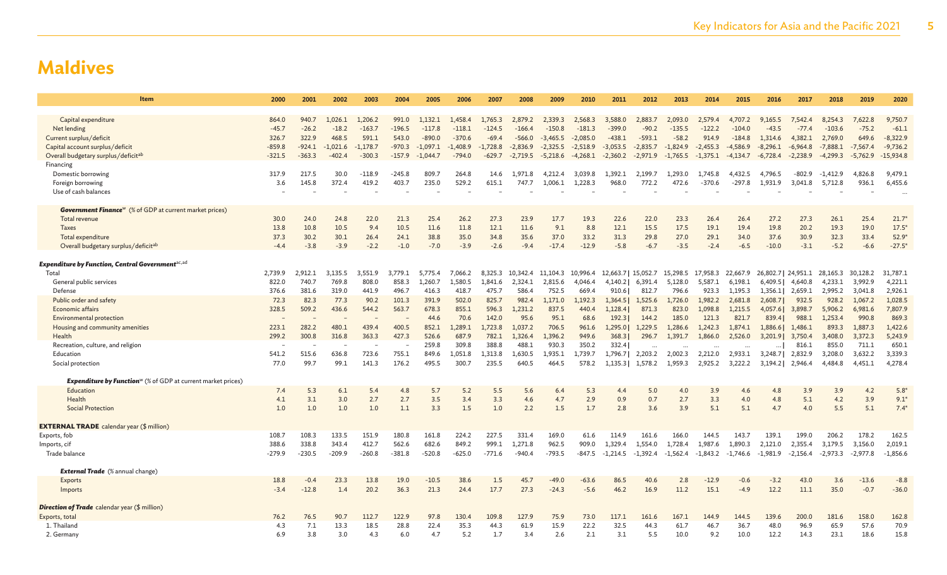| <b>Item</b>                                                                     | 2000     | 2001     | 2002       | 2003       | 2004     | 2005       | 2006       | 2007       | 2008       | 2009       | 2010       | 2011                | 2012       | 2013       | 2014       | 2015       | 2016                | 2017       | 2018       | 2019       | 2020           |
|---------------------------------------------------------------------------------|----------|----------|------------|------------|----------|------------|------------|------------|------------|------------|------------|---------------------|------------|------------|------------|------------|---------------------|------------|------------|------------|----------------|
|                                                                                 |          |          |            |            |          |            |            |            |            |            |            |                     |            |            |            |            |                     |            |            |            |                |
| Capital expenditure                                                             | 864.0    | 940.7    | 1.026.1    | 1.206.2    | 991.0    | 1,132.1    | 1,458.4    | 1.765.3    | 2,879.2    | 2.339.3    | 2.568.3    | 3,588.0             | 2.883.7    | 2.093.0    | 2,579.4    | 4,707.2    | 9,165.5             | 7.542.4    | 8,254.3    | 7.622.8    | 9,750.         |
| Net lending                                                                     | $-45.7$  | $-26.2$  | $-18.2$    | $-163.7$   | $-196.5$ | $-117.8$   | $-118.1$   | $-124.5$   | $-166.4$   | $-150.8$   | $-181.3$   | $-399.0$            | $-90.2$    | $-135.5$   | $-122.2$   | $-104.0$   | $-43.5$             | $-77.4$    | $-103.6$   | $-75.2$    | $-61.1$        |
| Current surplus/deficit                                                         | 326.7    | 322.9    | 468.5      | 591.1      | 543.0    | $-890.0$   | $-370.6$   | $-69.4$    | -566.0     | $-3.465.5$ | $-2.085.0$ | $-438.1$            | $-593.1$   | $-58.2$    | 914.9      | $-184.8$   | 1.314.6             | 4.382.1    | 2,769.0    | 649.6      | $-8,322.9$     |
| Capital account surplus/deficit                                                 | $-859.8$ | $-924.1$ | $-1,021.6$ | $-1,178.7$ | $-970.3$ | $-1,097.1$ | $-1,408.9$ | $-1,728.8$ | $-2,836.9$ | $-2,325.5$ | $-2,518.9$ | $-3,053.5$          | $-2,835.7$ | $-1,824.9$ | $-2,455.3$ | $-4,586.9$ | $-8,296.1$          | $-6,964.8$ | $-7,888.1$ | $-7,567.4$ | $-9,736.2$     |
| Overall budgetary surplus/deficitably                                           | $-321.5$ | $-363.3$ | $-402.4$   | $-300.3$   | $-157.9$ | $-1,044.7$ | $-794.0$   | $-629.7$   | $-2,719.5$ | $-5,218.6$ | $-4,268.1$ | $-2,360.2$          | $-2,971.9$ | $-1,765.5$ | $-1,375.1$ | $-4,134.7$ | $-6,728.4$          | $-2,238.9$ | $-4,299.3$ | $-5,762.9$ | $-15,934.8$    |
| Financing                                                                       |          |          |            |            |          |            |            |            |            |            |            |                     |            |            |            |            |                     |            |            |            |                |
| Domestic borrowing                                                              | 317.9    | 217.5    | 30.0       | $-118.9$   | $-245.8$ | 809.7      | 264.8      | 14.6       | 1,971.8    | 4.212.4    | 3,039.8    | 1,392.1             | 2,199.7    | 1,293.0    | 1,745.8    | 4.432.5    | 4.796.5             | $-802.9$   | $-1,412.9$ | 4,826.8    | 9,479.1        |
| Foreign borrowing                                                               | 3.6      | 145.8    | 372.4      | 419.2      | 403.7    | 235.0      | 529.2      | 615.1      | 747.7      | 1.006.1    | 1,228.3    | 968.0               | 772.2      | 472.6      | $-370.6$   | $-297.8$   | 1.931.9             | 3.041.8    | 5,712.8    | 936.1      | 6,455.6        |
| Use of cash balances                                                            |          |          |            |            |          |            |            |            |            |            |            |                     |            |            |            |            |                     |            |            |            |                |
| <b>Government Finance</b> <sup>w</sup> (% of GDP at current market prices)      |          |          |            |            |          |            |            |            |            |            |            |                     |            |            |            |            |                     |            |            |            |                |
| Total revenue                                                                   | 30.0     | 24.0     | 24.8       | 22.0       | 21.3     | 25.4       | 26.2       | 27.3       | 23.9       | 17.7       | 19.3       | 22.6                | 22.0       | 23.3       | 26.4       | 26.4       | 27.2                | 27.3       | 26.1       | 25.4       | 21.7           |
| <b>Taxes</b>                                                                    | 13.8     | 10.8     | 10.5       | 9.4        | 10.5     | 11.6       | 11.8       | 12.1       | 11.6       | 9.1        | 8.8        | 12.1                | 15.5       | 17.5       | 19.1       | 19.4       | 19.8                | 20.2       | 19.3       | 19.0       | $17.5^{\circ}$ |
| Total expenditure                                                               | 37.3     | 30.2     | 30.1       | 26.4       | 24.1     | 38.8       | 35.0       | 34.8       | 35.6       | 37.0       | 33.2       | 31.3                | 29.8       | 27.0       | 29.1       | 34.0       | 37.6                | 30.9       | 32.3       | 33.4       | 52.9           |
| Overall budgetary surplus/deficitab                                             | $-4.4$   | $-3.8$   | $-3.9$     | $-2.2$     | $-1.0$   | $-7.0$     | $-3.9$     | $-2.6$     | $-9.4$     | $-17.4$    | $-12.9$    | $-5.8$              | $-6.7$     | $-3.5$     | $-2.4$     | $-6.5$     | $-10.0$             | $-3.1$     | $-5.2$     | $-6.6$     | $-27.5'$       |
|                                                                                 |          |          |            |            |          |            |            |            |            |            |            |                     |            |            |            |            |                     |            |            |            |                |
| Expenditure by Function, Central Government <sup>ac,ad</sup>                    |          |          |            |            |          |            |            |            |            |            |            |                     |            |            |            |            |                     |            |            |            |                |
| Total                                                                           | 2.739.9  | 2.912.1  | 3.135.5    | 3.551.9    | 3.779.1  | 5,775.4    | 7.066.2    | 8.325.3    | 10.342.4   | 11.104.3   | 10,996.4   | 12,663.7   15,052.7 |            | 15,298.5   | 17,958.3   | 22,667.9   | 26,802.7   24,951.1 |            | 28.165.3   | 30.128.2   | 31,787.1       |
| General public services                                                         | 822.0    | 740.7    | 769.8      | 808.0      | 858.3    | 1,260.7    | 1,580.5    | 1,841.6    | 2,324.1    | 2,815.6    | 4,046.4    | 4,140.2             | 6,391.4    | 5,128.0    | 5,587.1    | 6,198.1    | 6,409.5             | 4,640.8    | 4,233.1    | 3,992.9    | 4,221.1        |
| Defense                                                                         | 376.6    | 381.6    | 319.0      | 441.9      | 496.7    | 416.3      | 418.7      | 475.7      | 586.4      | 752.5      | 669.4      | 910.6               | 812.7      | 796.6      | 923.3      | 1,195.3    | 1,356.1             | 2,659.1    | 2,995.2    | 3,041.8    | 2,926.1        |
| Public order and safety                                                         | 72.3     | 82.3     | 77.3       | 90.2       | 101.3    | 391.9      | 502.0      | 825.7      | 982.4      | 1,171.0    | 1,192.3    | 1.364.5             | 1,525.6    | 1,726.0    | 1,982.2    | 2,681.8    | 2,608.7             | 932.5      | 928.2      | 1,067.2    | 1,028.5        |
| Economic affairs                                                                | 328.5    | 509.2    | 436.6      | 544.2      | 563.7    | 678.3      | 855.1      | 596.3      | 1,231.2    | 837.5      | 440.4      | 1,128.41            | 871.3      | 823.0      | 1,098.8    | 1,215.5    | 4,057.6             | 3,898.7    | 5,906.2    | 6,981.6    | 7,807.9        |
| Environmental protection                                                        |          |          |            |            |          | 44.6       | 70.6       | 142.0      | 95.6       | 95.1       | 68.6       | 192.3               | 144.2      | 185.0      | 121.3      | 821.7      | 839.4               | 988.1      | 1,253.4    | 990.8      | 869.3          |
| Housing and community amenities                                                 | 223.1    | 282.2    | 480.1      | 439.4      | 400.5    | 852.1      | 1,289.1    | 1,723.8    | 1,037.2    | 706.5      | 961.6      | 1,295.0             | 1,229.5    | 1,286.6    | 1,242.3    | 1,874.1    | 1,886.6             | 1,486.1    | 893.3      | 1,887.3    | 1,422.6        |
| Health                                                                          | 299.2    | 300.8    | 316.8      | 363.3      | 427.3    | 526.6      | 687.9      | 782.1      | 1,326.4    | 1,396.2    | 949.6      | 368.3               | 296.7      | 1,391.7    | 1,866.0    | 2,526.0    | 3,201.9             | 3,750.4    | 3,408.0    | 3,372.3    | 5,243.9        |
| Recreation, culture, and religion                                               |          |          |            |            |          | 259.8      | 309.8      | 388.8      | 488.1      | 930.3      | 350.2      | 332.4               |            | $\cdots$   | $\ddotsc$  |            | $\cdots$            | 816.1      | 855.0      | 711.1      | 650.1          |
| Education                                                                       | 541.2    | 515.6    | 636.8      | 723.6      | 755.1    | 849.6      | 1,051.8    | 1.313.8    | 1,630.5    | 1,935.1    | 1,739.7    | 1,796.7             | 2,203.2    | 2,002.3    | 2,212.0    | 2,933.1    | 3,248.7             | 2,832.9    | 3,208.0    | 3,632.2    | 3,339.3        |
| Social protection                                                               | 77.0     | 99.7     | 99.1       | 141.3      | 176.2    | 495.5      | 300.7      | 235.5      | 640.5      | 464.5      | 578.2      | 1.135.3             | 1.578.2    | 1.959.3    | 2.925.2    | 3.222.2    | 3.194.21            | 2,946.4    | 4,484.8    | 4.451.1    | 4,278.4        |
| <b>Expenditure by Function</b> <sup>w</sup> (% of GDP at current market prices) |          |          |            |            |          |            |            |            |            |            |            |                     |            |            |            |            |                     |            |            |            |                |
| Education                                                                       | 7.4      | 5.3      | 6.1        | 5.4        | 4.8      | 5.7        | 5.2        | 5.5        | 5.6        | 6.4        | 5.3        | 4.4                 | 5.0        | 4.0        | 3.9        | 4.6        | 4.8                 | 3.9        | 3.9        | 4.2        | $5.8^\circ$    |
| Health                                                                          | 4.1      | 3.1      | 3.0        | 2.7        | 2.7      | 3.5        | 3.4        | 3.3        | 4.6        | 4.7        | 2.9        | 0.9                 | 0.7        | 2.7        | 3.3        | 4.0        | 4.8                 | 5.1        | 4.2        | 3.9        | 9.1            |
| <b>Social Protection</b>                                                        | 1.0      | 1.0      | 1.0        | 1.0        | 1.1      | 3.3        | 1.5        | 1.0        | 2.2        | 1.5        | 1.7        | 2.8                 | 3.6        | 3.9        | 5.1        | 5.1        | 4.7                 | 4.0        | 5.5        | 5.1        | $7.4^{\circ}$  |
|                                                                                 |          |          |            |            |          |            |            |            |            |            |            |                     |            |            |            |            |                     |            |            |            |                |
| <b>EXTERNAL TRADE</b> calendar year (\$ million)                                |          |          |            |            |          |            |            |            |            |            |            |                     |            |            |            |            |                     |            |            |            |                |
| Exports, fob                                                                    | 108.7    | 108.3    | 133.5      | 151.9      | 180.8    | 161.8      | 224.2      | 227.5      | 331.4      | 169.0      | 61.6       | 114.9               | 161.6      | 166.0      | 144.5      | 143.7      | 139.1               | 199.0      | 206.2      | 178.2      | 162.5          |
| Imports, cif                                                                    | 388.6    | 338.8    | 343.4      | 412.7      | 562.6    | 682.6      | 849.2      | 999.1      | 1.271.8    | 962.5      | 909.0      | 1.329.4             | 1.554.0    | 1,728.4    | 1,987.6    | 1.890.3    | 2.121.0             | 2,355.4    | 3,179.5    | 3,156.0    | 2,019.1        |
| Trade balance                                                                   | $-279.9$ | $-230.5$ | $-209.9$   | $-260.8$   | $-381.8$ | $-520.8$   | $-625.0$   | $-771.6$   | $-940.4$   | $-793.5$   | $-847.5$   | $-1.214.5$          | $-1.392.4$ | $-1,562.4$ | $-1,843.2$ | $-1.746.6$ | $-1.981.9$          | $-2,156.4$ | $-2,973.3$ | $-2,977.8$ | $-1,856.6$     |
| <b>External Trade</b> (% annual change)                                         |          |          |            |            |          |            |            |            |            |            |            |                     |            |            |            |            |                     |            |            |            |                |
| Exports                                                                         | 18.8     | $-0.4$   | 23.3       | 13.8       | 19.0     | $-10.5$    | 38.6       | 1.5        | 45.7       | $-49.0$    | $-63.6$    | 86.5                | 40.6       | 2.8        | $-12.9$    | $-0.6$     | $-3.2$              | 43.0       | 3.6        | $-13.6$    | $-8.8$         |
| Imports                                                                         | $-3.4$   | $-12.8$  | 1.4        | 20.2       | 36.3     | 21.3       | 24.4       | 17.7       | 27.3       | $-24.3$    | $-5.6$     | 46.2                | 16.9       | 11.2       | 15.1       | $-4.9$     | 12.2                | 11.1       | 35.0       | $-0.7$     | $-36.0$        |
|                                                                                 |          |          |            |            |          |            |            |            |            |            |            |                     |            |            |            |            |                     |            |            |            |                |
| <b>Direction of Trade</b> calendar year (\$ million)                            |          |          |            |            |          |            |            |            |            |            |            |                     |            |            |            |            |                     |            |            |            |                |
| Exports, total                                                                  | 76.2     | 76.5     | 90.7       | 112.7      | 122.9    | 97.8       | 130.4      | 109.8      | 127.9      | 75.9       | 73.0       | 117.1               | 161.6      | 167.1      | 144.9      | 144.5      | 139.6               | 200.0      | 181.6      | 158.0      | 162.8          |
| 1. Thailand                                                                     | 4.3      | 7.1      | 13.3       | 18.5       | 28.8     | 22.4       | 35.3       | 44.3       | 61.9       | 15.9       | 22.2       | 32.5                | 44.3       | 61.7       | 46.7       | 36.7       | 48.0                | 96.9       | 65.9       | 57.6       | 70.9           |
| 2. Germany                                                                      | 6.9      | 3.8      | 3.0        | 4.3        | 6.0      | 4.7        | 5.2        | 1.7        | 3.4        | 2.6        | 2.1        | 3.1                 | 5.5        | 10.0       | 9.2        | 10.0       | 12.2                | 14.3       | 23.1       | 18.6       | 15.8           |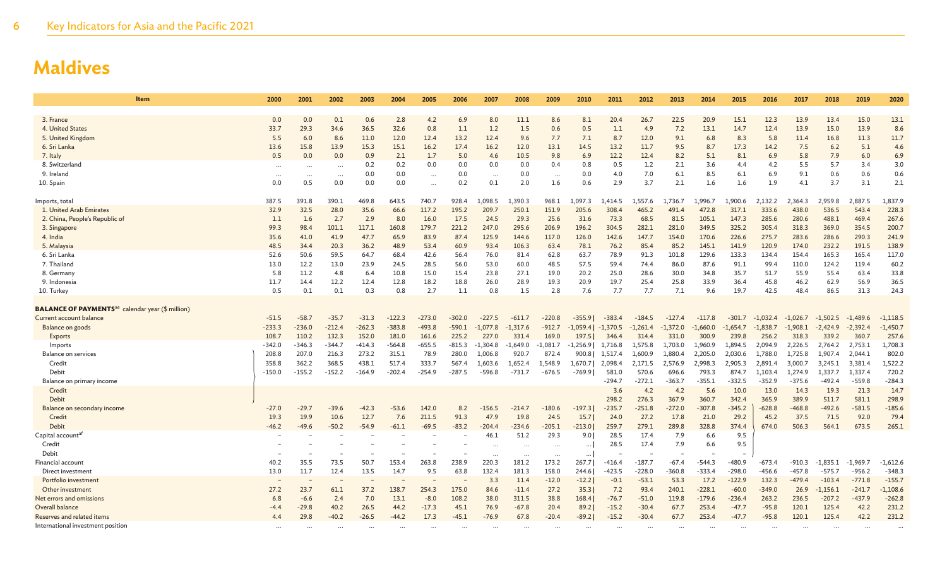| <b>Item</b>                                                         | 2000     | 2001     | 2002     | 2003     | 2004     | 2005      | 2006     | 2007       | 2008       | 2009       | 2010       | 2011       | 2012       | 2013       | 2014       | 2015       | 2016       | 2017       | 2018       | 2019       | 2020       |
|---------------------------------------------------------------------|----------|----------|----------|----------|----------|-----------|----------|------------|------------|------------|------------|------------|------------|------------|------------|------------|------------|------------|------------|------------|------------|
|                                                                     |          |          |          |          |          |           |          |            |            |            |            |            |            |            |            |            |            |            |            |            |            |
| 3. France                                                           | 0.0      | 0.0      | 0.1      | 0.6      | 2.8      | 4.2       | 6.9      | 8.0        | 11.1       | 8.6        | 8.1        | 20.4       | 26.7       | 22.5       | 20.9       | 15.1       | 12.3       | 13.9       | 13.4       | 15.0       | 13.1       |
| 4. United States                                                    | 33.7     | 29.3     | 34.6     | 36.5     | 32.6     | 0.8       | 1.1      | 1.2        | 1.5        | 0.6        | 0.5        | 1.1        | 4.9        | 7.2        | 13.1       | 14.7       | 12.4       | 13.9       | 15.0       | 13.9       | 8.6        |
| 5. United Kingdom                                                   | 5.5      | 6.0      | 8.6      | 11.0     | 12.0     | 12.4      | 13.2     | 12.4       | 9.6        | 7.7        | 7.1        | 8.7        | 12.0       | 9.1        | 6.8        | 8.3        | 5.8        | 11.4       | 16.8       | 11.3       | 11.7       |
| 6. Sri Lanka                                                        | 13.6     | 15.8     | 13.9     | 15.3     | 15.1     | 16.2      | 17.4     | 16.2       | 12.0       | 13.1       | 14.5       | 13.2       | 11.7       | 9.5        | 8.7        | 17.3       | 14.2       | 7.5        | 6.2        | 5.1        | 4.6        |
| 7. Italy                                                            | 0.5      | 0.0      | 0.0      | 0.9      | 2.1      | 1.7       | 5.0      | 4.6        | 10.5       | 9.8        | 6.9        | 12.2       | 12.4       | 8.2        | 5.1        | 8.1        | 6.9        | 5.8        | 7.9        | 6.0        | 6.9        |
| 8. Switzerland                                                      |          |          | $\cdots$ | 0.2      | 0.2      | 0.0       | 0.0      | 0.0        | 0.0        | 0.4        | 0.8        | 0.5        | 1.2        | 2.1        | 3.6        | 4.4        | 4.2        | 5.5        | 5.7        | 3.4        | 3.0        |
| 9. Irelanc                                                          | $\cdots$ | $\cdots$ | $\cdots$ | 0.0      | 0.0      |           | 0.0      | $\cdots$   | 0.0        | $\cdots$   | 0.0        | 4.0        | 7.0        | 6.1        | 8.5        | 6.1        | 6.9        | 9.1        | 0.6        | 0.6        | 0.6        |
| 10. Spain                                                           | 0.0      | 0.5      | 0.0      | 0.0      | 0.0      | $\ddotsc$ | 0.2      | 0.1        | 2.0        | 1.6        | 0.6        | 2.9        | 3.7        | 2.1        | 1.6        | 1.6        | 1.9        | 4.1        | 3.7        | 3.1        | 2.1        |
| Imports, total                                                      | 387.5    | 391.8    | 390.1    | 469.8    | 643.5    | 740.7     | 928.4    | .098.5     | 1,390.3    | 968.1      | 1,097.3    | 1,414.5    | 1,557.6    | 1,736.7    | 1,996.7    | .,900.6    | 2,132.2    | 2,364.3    | 2,959.8    | 2,887.5    | 1,837.9    |
| 1. United Arab Emirates                                             | 32.9     | 32.5     | 28.0     | 35.6     | 66.6     | 117.2     | 195.2    | 209.7      | 250.1      | 151.9      | 205.6      | 308.4      | 465.2      | 491.4      | 472.8      | 317.1      | 333.6      | 438.0      | 536.5      | 543.4      | 228.3      |
| 2. China, People's Republic of                                      | 1.1      | 1.6      | 2.7      | 2.9      | 8.0      | 16.0      | 17.5     | 24.5       | 29.3       | 25.6       | 31.6       | 73.3       | 68.5       | 81.5       | 105.1      | 147.3      | 285.6      | 280.6      | 488.1      | 469.4      | 267.6      |
| 3. Singapore                                                        | 99.3     | 98.4     | 101.1    | 117.1    | 160.8    | 179.7     | 221.2    | 247.0      | 295.6      | 206.9      | 196.2      | 304.5      | 282.1      | 281.0      | 349.5      | 325.2      | 305.4      | 318.3      | 369.0      | 354.5      | 200.7      |
| 4. India                                                            | 35.6     | 41.0     | 41.9     | 47.7     | 65.9     | 83.9      | 87.4     | 125.9      | 144.6      | 117.0      | 126.0      | 142.6      | 147.7      | 154.0      | 170.6      | 226.6      | 275.7      | 283.6      | 286.6      | 290.3      | 241.9      |
| 5. Malaysia                                                         | 48.5     | 34.4     | 20.3     | 36.2     | 48.9     | 53.4      | 60.9     | 93.4       | 106.3      | 63.4       | 78.1       | 76.2       | 85.4       | 85.2       | 145.1      | 141.9      | 120.9      | 174.0      | 232.2      | 191.5      | 138.9      |
| 6. Sri Lanka                                                        | 52.6     | 50.6     | 59.5     | 64.7     | 68.4     | 42.6      | 56.4     | 76.0       | 81.4       | 62.8       | 63.7       | 78.9       | 91.3       | 101.8      | 129.6      | 133.3      | 134.4      | 154.4      | 165.3      | 165.4      | 117.0      |
| 7. Thailand                                                         | 13.0     | 12.2     | 13.0     | 23.9     | 24.5     | 28.5      | 56.0     | 53.0       | 60.0       | 48.5       | 57.5       | 59.4       | 74.4       | 86.0       | 87.6       | 91.1       | 99.4       | 110.0      | 124.2      | 119.4      | 60.2       |
| 8. Germany                                                          | 5.8      | 11.2     | 4.8      | 6.4      | 10.8     | 15.0      | 15.4     | 23.8       | 27.1       | 19.0       | 20.2       | 25.0       | 28.6       | 30.0       | 34.8       | 35.7       | 51.7       | 55.9       | 55.4       | 63.4       | 33.8       |
| 9. Indonesia                                                        | 11.7     | 14.4     | 12.2     | 12.4     | 12.8     | 18.2      | 18.8     | 26.0       | 28.9       | 19.3       | 20.9       | 19.7       | 25.4       | 25.8       | 33.9       | 36.4       | 45.8       | 46.2       | 62.9       | 56.9       | 36.5       |
| 10. Turkey                                                          | 0.5      | 0.1      | 0.1      | 0.3      | 0.8      | 2.7       | 1.1      | 0.8        | 1.5        | 2.8        | 7.6        | 7.7        | 7.7        | 7.1        | 9.6        | 19.7       | 42.5       | 48.4       | 86.5       | 31.3       | 24.3       |
| <b>BALANCE OF PAYMENTS</b> <sup>ae</sup> calendar year (\$ million) |          |          |          |          |          |           |          |            |            |            |            |            |            |            |            |            |            |            |            |            |            |
| Current account balance                                             | $-51.5$  | $-58.7$  | $-35.7$  | $-31.3$  | $-122.3$ | $-273.0$  | $-302.0$ | $-227.5$   | $-611.7$   | $-220.8$   | $-355.9$   | $-383.4$   | $-184.5$   | $-127.4$   | $-117.8$   | $-301.7$   | $-1,032.4$ | $-1,026.7$ | $-1,502.5$ | $-1,489.6$ | $-1,118.5$ |
| Balance on goods                                                    | $-233.3$ | $-236.0$ | $-212.4$ | $-262.3$ | $-383.8$ | $-493.8$  | $-590.1$ | $-1.077.8$ | $-1,317.6$ | $-912.7$   | $-1.059.4$ | $-1,370.5$ | $-1.261.4$ | $-1.372.0$ | $-1,660.0$ | $-1,654.7$ | $-1.838.7$ | $-1.908.1$ | $-2.424.9$ | $-2,392.$  | $-1,450.7$ |
| Exports                                                             | 108.7    | 110.2    | 132.3    | 152.0    | 181.0    | 161.6     | 225.2    | 227.0      | 331.4      | 169.0      | 197.5      | 346.4      | 314.4      | 331.0      | 300.9      | 239.8      | 256.2      | 318.3      | 339.2      | 360.7      | 257.6      |
| Imports                                                             | $-342.0$ | $-346.3$ | $-344.7$ | $-414.3$ | $-564.8$ | $-655.5$  | $-815.3$ | $-1,304.8$ | $-1,649.0$ | $-1,081.7$ | $-1,256.9$ | 1,716.8    | 1,575.8    | 1,703.0    | 1,960.9    | 1,894.5    | 2,094.9    | 2,226.5    | 2,764.2    | 2,753.1    | 1,708.3    |
| <b>Balance on services</b>                                          | 208.8    | 207.0    | 216.3    | 273.2    | 315.1    | 78.9      | 280.0    | 1,006.8    | 920.7      | 872.4      | 900.8      | 1,517.4    | 1,600.9    | 1,880.4    | 2,205.0    | 2,030.6    | 1,788.0    | 1,725.8    | 1,907.4    | 2,044.1    | 802.0      |
| Credit                                                              | 358.8    | 362.2    | 368.5    | 438.1    | 517.4    | 333.7     | 567.4    | 1,603.6    | 1,652.4    | 1,548.9    | 1.670.7    | 2,098.4    | 2.171.5    | 2,576.9    | 2,998.3    | 2,905.3    | 2,891.4    | 3,000.7    | 3,245.1    | 3,381.4    | 1,522.2    |
| Debit                                                               | $-150.0$ | $-155.2$ | $-152.2$ | $-164.9$ | $-202.4$ | $-254.9$  | $-287.5$ | $-596.8$   | $-731.7$   | $-676.5$   | -769.91    | 581.0      | 570.6      | 696.6      | 793.3      | 874.7      | 1,103.4    | 1,274.9    | 1,337.7    | 1,337.4    | 720.2      |
| Balance on primary income                                           |          |          |          |          |          |           |          |            |            |            |            | $-294.7$   | $-272.1$   | $-363.7$   | $-355.1$   | $-332.5$   | $-352.9$   | $-375.6$   | $-492.4$   | $-559.8$   | $-284.3$   |
| Credit                                                              |          |          |          |          |          |           |          |            |            |            |            | 3.6        | 4.2        | 4.2        | 5.6        | 10.0       | 13.0       | 14.3       | 19.3       | 21.3       | 14.7       |
| Debit                                                               |          |          |          |          |          |           |          |            |            |            |            | 298.2      | 276.3      | 367.9      | 360.7      | 342.4      | 365.9      | 389.9      | 511.7      | 581.1      | 298.9      |
| Balance on secondary income                                         | $-27.0$  | $-29.7$  | $-39.6$  | $-42.3$  | $-53.6$  | 142.0     | 8.2      | -156.5     | $-214.7$   | $-180.6$   | $-197.3$   | $-235.7$   | $-251.8$   | $-272.0$   | $-307.8$   | $-345.2$   | $-628.8$   | $-468.8$   | $-492.6$   | $-581.5$   | $-185.6$   |
| Credit                                                              | 19.3     | 19.9     | 10.6     | 12.7     | 7.6      | 211.5     | 91.3     | 47.9       | 19.8       | 24.5       | 15.7       | 24.0       | 27.2       | 17.8       | 21.0       | 29.2       | 45.2       | 37.5       | 71.5       | 92.0       | 79.4       |
| <b>Debit</b>                                                        | $-46.2$  | $-49.6$  | $-50.2$  | $-54.9$  | $-61.1$  | $-69.5$   | $-83.2$  | $-204.4$   | $-234.6$   | $-205.1$   | $-213.0$   | 259.7      | 279.1      | 289.8      | 328.8      | 374.4      | 674.0      | 506.3      | 564.1      | 673.5      | 265.1      |
| Capital account <sup>at</sup>                                       |          |          |          |          |          |           |          | 46.1       | 51.2       | 29.3       | 9.0        | 28.5       | 17.4       | 7.9        | 6.6        | 9.5        |            |            |            |            |            |
| Credit                                                              |          |          |          |          |          |           |          |            |            |            | $\cdots$   | 28.5       | 17.4       | 7.9        | 6.6        | 9.5        |            |            |            |            |            |
| Debit                                                               |          |          |          |          |          |           |          |            | $\cdots$   | $\cdots$   | $\cdots$   |            |            |            |            |            |            |            |            |            |            |
| Financial account                                                   | 40.2     | 35.5     | 73.5     | 50.7     | 153.4    | 263.8     | 238.9    | 220.3      | 181.2      | 173.2      | 267.7      | $-416.4$   | $-187.7$   | $-67.4$    | $-544.3$   | $-480.9$   | $-673.4$   | -910.3     | $-1,835.1$ | $-1,969.7$ | $-1,612.6$ |
| Direct investment                                                   | 13.0     | 11.7     | 12.4     | 13.5     | 14.7     | 9.5       | 63.8     | 132.4      | 181.3      | 158.0      | 244.6      | $-423.5$   | $-228.0$   | $-360.8$   | $-333.4$   | $-298.0$   | $-456.6$   | $-457.8$   | $-575.7$   | $-956.2$   | $-348.3$   |
| Portfolio investment                                                |          |          |          |          |          |           |          | 3.3        | 11.4       | $-12.0$    | $-12.2$    | $-0.1$     | $-53.1$    | 53.3       | 17.2       | $-122.9$   | 132.3      | $-479.4$   | $-103.4$   | $-771.8$   | $-155.7$   |
| Other investment                                                    | 27.2     | 23.7     | 61.1     | 37.2     | 138.7    | 254.3     | 175.0    | 84.6       | $-11.4$    | 27.2       | 35.3       | 7.2        | 93.4       | 240.1      | $-228.1$   | $-60.0$    | $-349.0$   | 26.9       | $-1.156.1$ | $-241.7$   | $-1,108.6$ |
| Net errors and omissions                                            | 6.8      | $-6.6$   | 2.4      | 7.0      | 13.1     | $-8.0$    | 108.2    | 38.0       | 311.5      | 38.8       | 168.4      | $-76.7$    | $-51.0$    | 119.8      | $-179.6$   | $-236.4$   | 263.2      | 236.5      | $-207.2$   | $-437.9$   | $-262.8$   |
| Overall balance                                                     | $-4.4$   | $-29.8$  | 40.2     | 26.5     | 44.2     | $-17.3$   | 45.1     | 76.9       | $-67.8$    | 20.4       | 89.2       | $-15.2$    | $-30.4$    | 67.7       | 253.4      | $-47.7$    | $-95.8$    | 120.1      | 125.4      | 42.2       | 231.2      |
| Reserves and related items                                          | 4.4      | 29.8     | $-40.2$  | $-26.5$  | $-44.2$  | 17.3      | $-45.1$  | $-76.9$    | 67.8       | $-20.4$    | $-89.2$    | $-15.2$    | $-30.4$    | 67.7       | 253.4      | $-47.7$    | $-95.8$    | 120.1      | 125.4      | 42.2       | 231.2      |
| International investment position                                   |          |          |          |          |          |           |          |            |            |            |            |            |            |            |            |            |            |            |            |            |            |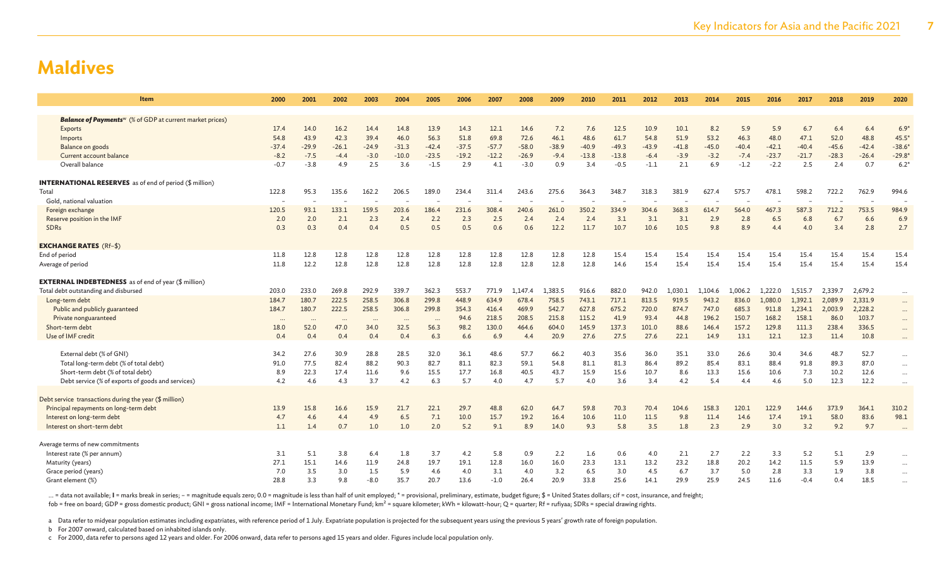| Item                                                                        | 2000     | 2001     | 2002      | 2003     | 2004     | 2005      | 2006    | 2007    | 2008    | 2009    | 2010    | 2011    | 2012    | 2013    | 2014    | 2015    | 2016    | 2017    | 2018    | 2019    | 2020                   |
|-----------------------------------------------------------------------------|----------|----------|-----------|----------|----------|-----------|---------|---------|---------|---------|---------|---------|---------|---------|---------|---------|---------|---------|---------|---------|------------------------|
| <b>Balance of Payments</b> <sup>w</sup> (% of GDP at current market prices) |          |          |           |          |          |           |         |         |         |         |         |         |         |         |         |         |         |         |         |         |                        |
| Exports                                                                     | 17.4     | 14.0     | 16.2      | 14.4     | 14.8     | 13.9      | 14.3    | 12.1    | 14.6    | 7.2     | 7.6     | 12.5    | 10.9    | 10.1    | 8.2     | 5.9     | 5.9     | 6.7     | 6.4     | 6.4     | $6.9*$                 |
| Imports                                                                     | 54.8     | 43.9     | 42.3      | 39.4     | 46.0     | 56.3      | 51.8    | 69.8    | 72.6    | 46.1    | 48.6    | 61.7    | 54.8    | 51.9    | 53.2    | 46.3    | 48.0    | 47.1    | 52.0    | 48.8    | $45.5^{\circ}$         |
| Balance on goods                                                            | $-37.4$  | $-29.9$  | $-26.1$   | $-24.9$  | $-31.3$  | $-42.4$   | $-37.5$ | $-57.7$ | $-58.0$ | $-38.9$ | $-40.9$ | $-49.3$ | $-43.9$ | $-41.8$ | $-45.0$ | $-40.4$ | $-42.1$ | $-40.4$ | $-45.6$ | $-42.4$ | $-38.6$                |
| Current account balance                                                     | $-8.2$   | $-7.5$   | $-4.4$    | $-3.0$   | $-10.0$  | $-23.5$   | $-19.2$ | $-12.2$ | $-26.9$ | $-9.4$  | $-13.8$ | $-13.8$ | $-6.4$  | $-3.9$  | $-3.2$  | $-7.4$  | $-23.7$ | $-21.7$ | $-28.3$ | $-26.4$ | $-29.8$                |
| Overall balance                                                             | $-0.7$   | $-3.8$   | 4.9       | 2.5      | 3.6      | $-1.5$    | 2.9     | 4.1     | $-3.0$  | 0.9     | 3.4     | $-0.5$  | $-1.1$  | 2.1     | 6.9     | $-1.2$  | $-2.2$  | 2.5     | 2.4     | 0.7     | $6.2*$                 |
|                                                                             |          |          |           |          |          |           |         |         |         |         |         |         |         |         |         |         |         |         |         |         |                        |
| <b>INTERNATIONAL RESERVES</b> as of end of period (\$ million)              |          |          |           |          |          |           |         |         |         |         |         |         |         |         |         |         |         |         |         |         |                        |
| Total                                                                       | 122.8    | 95.3     | 135.6     | 162.2    | 206.5    | 189.0     | 234.4   | 311.4   | 243.6   | 275.6   | 364.3   | 348.7   | 318.3   | 381.9   | 627.4   | 575.7   | 478.1   | 598.2   | 722.2   | 762.9   | 994.6                  |
| Gold, national valuation                                                    |          |          |           |          |          |           |         |         |         |         |         |         |         |         |         |         |         |         |         |         |                        |
| Foreign exchange                                                            | 120.5    | 93.1     | 133.1     | 159.5    | 203.6    | 186.4     | 231.6   | 308.4   | 240.6   | 261.0   | 350.2   | 334.9   | 304.6   | 368.3   | 614.7   | 564.0   | 467.3   | 587.3   | 712.2   | 753.5   | 984.9                  |
| Reserve position in the IMF                                                 | 2.0      | 2.0      | 2.1       | 2.3      | 2.4      | 2.2       | 2.3     | 2.5     | 2.4     | 2.4     | 2.4     | 3.1     | 3.1     | 3.1     | 2.9     | 2.8     | 6.5     | 6.8     | 6.7     | 6.6     | 6.9                    |
| SDRs                                                                        | 0.3      | 0.3      | 0.4       | 0.4      | 0.5      | 0.5       | 0.5     | 0.6     | 0.6     | 12.2    | 11.7    | 10.7    | 10.6    | 10.5    | 9.8     | 8.9     | 4.4     | 4.0     | 3.4     | 2.8     | 2.7                    |
|                                                                             |          |          |           |          |          |           |         |         |         |         |         |         |         |         |         |         |         |         |         |         |                        |
| <b>EXCHANGE RATES (Rf-\$)</b>                                               |          |          |           |          |          |           |         |         |         |         |         |         |         |         |         |         |         |         |         |         |                        |
| End of period                                                               | 11.8     | 12.8     | 12.8      | 12.8     | 12.8     | 12.8      | 12.8    | 12.8    | 12.8    | 12.8    | 12.8    | 15.4    | 15.4    | 15.4    | 15.4    | 15.4    | 15.4    | 15.4    | 15.4    | 15.4    | 15.4                   |
| Average of period                                                           | 11.8     | 12.2     | 12.8      | 12.8     | 12.8     | 12.8      | 12.8    | 12.8    | 12.8    | 12.8    | 12.8    | 14.6    | 15.4    | 15.4    | 15.4    | 15.4    | 15.4    | 15.4    | 15.4    | 15.4    | 15.4                   |
|                                                                             |          |          |           |          |          |           |         |         |         |         |         |         |         |         |         |         |         |         |         |         |                        |
| <b>EXTERNAL INDEBTEDNESS</b> as of end of year (\$ million)                 |          |          |           |          |          |           |         |         |         |         |         |         |         |         |         |         |         |         |         |         |                        |
| Total debt outstanding and disbursed                                        | 203.0    | 233.0    | 269.8     | 292.9    | 339.7    | 362.3     | 553.7   | 771.9   | 1.147.4 | 1,383.5 | 916.6   | 882.0   | 942.0   | 1,030.1 | 1,104.6 | 1,006.2 | 1.222.0 | 1.515.7 | 2,339.7 | 2,679.2 | $\cdots$               |
| Long-term debt                                                              | 184.7    | 180.7    | 222.5     | 258.5    | 306.8    | 299.8     | 448.9   | 634.9   | 678.4   | 758.5   | 743.1   | 717.1   | 813.5   | 919.5   | 943.2   | 836.0   | 1,080.0 | 1.392.1 | 2,089.9 | 2,331.9 | $\cdots$               |
| Public and publicly guaranteed                                              | 184.7    | 180.7    | 222.5     | 258.5    | 306.8    | 299.8     | 354.3   | 416.4   | 469.9   | 542.7   | 627.8   | 675.2   | 720.0   | 874.7   | 747.0   | 685.3   | 911.8   | 1,234.1 | 2,003.9 | 2,228.2 | $\cdots$               |
| Private nonguaranteed                                                       | $\cdots$ | $\cdots$ | $\ddotsc$ | $\cdots$ | $\cdots$ | $\ddotsc$ | 94.6    | 218.5   | 208.5   | 215.8   | 115.2   | 41.9    | 93.4    | 44.8    | 196.2   | 150.7   | 168.2   | 158.1   | 86.0    | 103.7   | $\cdots$               |
| Short-term debt                                                             | 18.0     | 52.0     | 47.0      | 34.0     | 32.5     | 56.3      | 98.2    | 130.0   | 464.6   | 604.0   | 145.9   | 137.3   | 101.0   | 88.6    | 146.4   | 157.2   | 129.8   | 111.3   | 238.4   | 336.5   | $\cdots$               |
| Use of IMF credit                                                           | 0.4      | 0.4      | 0.4       | 0.4      | 0.4      | 6.3       | 6.6     | 6.9     | 4.4     | 20.9    | 27.6    | 27.5    | 27.6    | 22.1    | 14.9    | 13.1    | 12.1    | 12.3    | 11.4    | 10.8    | $\ddots$               |
| External debt (% of GNI)                                                    | 34.2     | 27.6     | 30.9      | 28.8     | 28.5     | 32.0      | 36.1    | 48.6    | 57.7    | 66.2    | 40.3    | 35.6    | 36.0    | 35.1    | 33.0    | 26.6    | 30.4    | 34.6    | 48.7    | 52.7    |                        |
| Total long-term debt (% of total debt)                                      | 91.0     | 77.5     | 82.4      | 88.2     | 90.3     | 82.7      | 81.1    | 82.3    | 59.1    | 54.8    | 81.1    | 81.3    | 86.4    | 89.2    | 85.4    | 83.1    | 88.4    | 91.8    | 89.3    | 87.0    | $\ldots$               |
| Short-term debt (% of total debt)                                           | 8.9      | 22.3     | 17.4      | 11.6     | 9.6      | 15.5      | 17.7    | 16.8    | 40.5    | 43.7    | 15.9    | 15.6    | 10.7    | 8.6     | 13.3    | 15.6    | 10.6    | 7.3     | 10.2    | 12.6    | $\cdots$               |
| Debt service (% of exports of goods and services)                           | 4.2      | 4.6      | 4.3       | 3.7      | 4.2      | 6.3       | 5.7     | 4.0     | 4.7     | 5.7     | 4.0     | 3.6     | 3.4     | 4.2     | 5.4     | 4.4     | 4.6     | 5.0     | 12.3    | 12.2    | $\ddotsc$<br>$\ddotsc$ |
|                                                                             |          |          |           |          |          |           |         |         |         |         |         |         |         |         |         |         |         |         |         |         |                        |
| Debt service transactions during the year (\$ million)                      |          |          |           |          |          |           |         |         |         |         |         |         |         |         |         |         |         |         |         |         |                        |
| Principal repayments on long-term debt                                      | 13.9     | 15.8     | 16.6      | 15.9     | 21.7     | 22.1      | 29.7    | 48.8    | 62.0    | 64.7    | 59.8    | 70.3    | 70.4    | 104.6   | 158.3   | 120.1   | 122.9   | 144.6   | 373.9   | 364.1   | 310.2                  |
| Interest on long-term debt                                                  | 4.7      | 4.6      | 4.4       | 4.9      | 6.5      | 7.1       | 10.0    | 15.7    | 19.2    | 16.4    | 10.6    | 11.0    | 11.5    | 9.8     | 11.4    | 14.6    | 17.4    | 19.1    | 58.0    | 83.6    | 98.1                   |
| Interest on short-term debt                                                 | 1.1      | 1.4      | 0.7       | 1.0      | 1.0      | 2.0       | 5.2     | 9.1     | 8.9     | 14.0    | 9.3     | 5.8     | 3.5     | 1.8     | 2.3     | 2.9     | 3.0     | 3.2     | 9.2     | 9.7     |                        |
|                                                                             |          |          |           |          |          |           |         |         |         |         |         |         |         |         |         |         |         |         |         |         |                        |
| Average terms of new commitments                                            |          |          |           |          |          |           |         |         |         |         |         |         |         |         |         |         |         |         |         |         |                        |
| Interest rate (% per annum)                                                 | 3.1      | 5.1      | 3.8       | 6.4      | 1.8      | 3.7       | 4.2     | 5.8     | 0.9     | 2.2     | 1.6     | 0.6     | 4.0     | 2.1     | 2.7     | 2.2     | 3.3     | 5.2     | 5.1     | 2.9     | $\ddots$               |
| Maturity (years)                                                            | 27.1     | 15.1     | 14.6      | 11.9     | 24.8     | 19.7      | 19.1    | 12.8    | 16.0    | 16.0    | 23.3    | 13.1    | 13.2    | 23.2    | 18.8    | 20.2    | 14.2    | 11.5    | 5.9     | 13.9    | $\cdots$               |
| Grace period (years)                                                        | 7.0      | 3.5      | 3.0       | 1.5      | 5.9      | 4.6       | 4.0     | 3.1     | 4.0     | 3.2     | 6.5     | 3.0     | 4.5     | 6.7     | 3.7     | 5.0     | 2.8     | 3.3     | 1.9     | 3.8     | $\ddots$               |
| Grant element (%)                                                           | 28.8     | 3.3      | 9.8       | $-8.0$   | 35.7     | 20.7      | 13.6    | $-1.0$  | 26.4    | 20.9    | 33.8    | 25.6    | 14.1    | 29.9    | 25.9    | 24.5    | 11.6    | $-0.4$  | 0.4     | 18.5    | $\cdots$               |
|                                                                             |          |          |           |          |          |           |         |         |         |         |         |         |         |         |         |         |         |         |         |         |                        |

... = data not available; I = marks break in series; - = magnitude equals zero; 0.0 = magnitude is less than half of unit employed; \* = provisional, preliminary, estimate, budget figure; \$ = United States dollars; cif = co

fob = free on board; GDP = gross domestic product; GNI = gross national income; IMF = International Monetary Fund; km² = square kilometer; kWh = kilowatt-hour; Q = quarter; Rf = rufiyaa; SDRs = special drawing rights.

a Data refer to midyear population estimates including expatriates, with reference period of 1 July. Expatriate population is projected for the subsequent years using the previous 5 years' growth rate of foreign population

b For 2007 onward, calculated based on inhabited islands only.

c For 2000, data refer to persons aged 12 years and older. For 2006 onward, data refer to persons aged 15 years and older. Figures include local population only.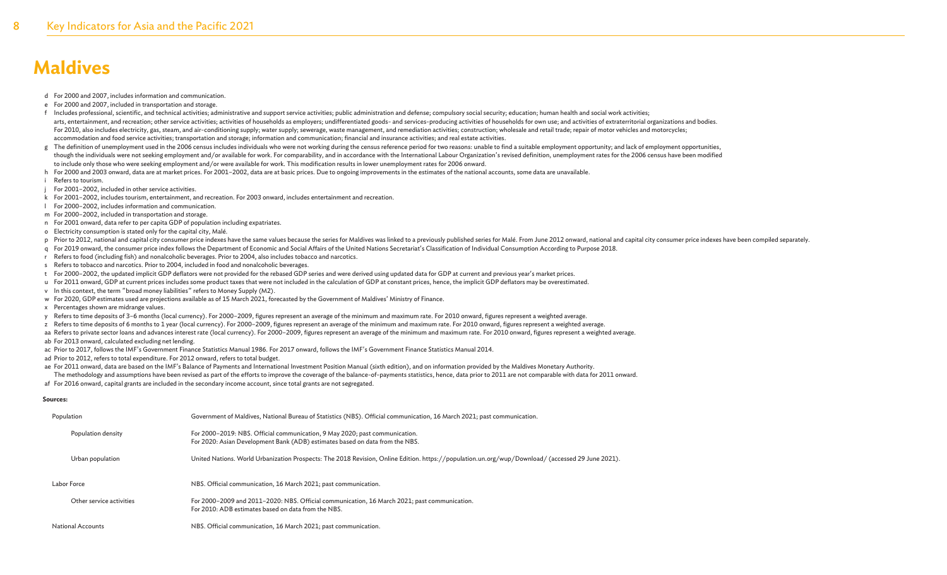- d For 2000 and 2007, includes information and communication.
- e For 2000 and 2007, included in transportation and storage.
- f Includes professional, scientific, and technical activities; administrative and support service activities; public administration and defense; compulsory social security; education; human health and social work activities; arts, entertainment, and recreation; other service activities; activities of households as employers; undifferentiated goods- and services-producing activities of households for own use; and activities of extraterritorial For 2010, also includes electricity, gas, steam, and air-conditioning supply; water supply; sewerage, waste management, and remediation activities; construction; wholesale and retail trade; repair of motor vehicles and mot accommodation and food service activities; transportation and storage; information and communication; financial and insurance activities; and real estate activities.
- g The definition of unemployment used in the 2006 census includes individuals who were not working during the census reference period for two reasons: unable to find a suitable employment opportunity; and lack of employmen though the individuals were not seeking employment and/or available for work. For comparability, and in accordance with the International Labour Organization's revised definition, unemployment rates for the 2006 census hav to include only those who were seeking employment and/or were available for work. This modification results in lower unemployment rates for 2006 onward.
- h For 2000 and 2003 onward, data are at market prices. For 2001-2002, data are at basic prices. Due to ongoing improvements in the estimates of the national accounts, some data are unavailable.
- i Refers to tourism.
- For 2001–2002, included in other service activities.
- k For 2001–2002, includes tourism, entertainment, and recreation. For 2003 onward, includes entertainment and recreation.
- l For 2000–2002, includes information and communication.
- m For 2000–2002, included in transportation and storage.
- n For 2001 onward, data refer to per capita GDP of population including expatriates.
- o Electricity consumption is stated only for the capital city, Malé.
- p Prior to 2012, national and capital city consumer price indexes have the same values because the series for Maldives was linked to a previously published series for Malé. From June 2012 onward, national and capital city
- q For 2019 onward, the consumer price index follows the Department of Economic and Social Affairs of the United Nations Secretariat's Classification of Individual Consumption According to Purpose 2018.
- r Refers to food (including fish) and nonalcoholic beverages. Prior to 2004, also includes tobacco and narcotics.
- s Refers to tobacco and narcotics. Prior to 2004, included in food and nonalcoholic beverages.
- t For 2000–2002, the updated implicit GDP deflators were not provided for the rebased GDP series and were derived using updated data for GDP at current and previous year's market prices.
- u For 2011 onward, GDP at current prices includes some product taxes that were not included in the calculation of GDP at constant prices, hence, the implicit GDP deflators may be overestimated.
- v In this context, the term "broad money liabilities" refers to Money Supply (M2).
- w For 2020, GDP estimates used are projections available as of 15 March 2021, forecasted by the Government of Maldives' Ministry of Finance.
- x Percentages shown are midrange values.
- y Refers to time deposits of 3–6 months (local currency). For 2000–2009, figures represent an average of the minimum and maximum rate. For 2010 onward, figures represent a weighted average.
- z Refers to time deposits of 6 months to 1 year (local currency). For 2000–2009, figures represent an average of the minimum and maximum rate. For 2010 onward, figures represent a weighted average.
- aa Refers to private sector loans and advances interest rate (local currency). For 2000-2009, figures represent an average of the minimum and maximum rate. For 2010 onward, figures represent a weighted average.
- ab For 2013 onward, calculated excluding net lending.
- ac Prior to 2017, follows the IMF's Government Finance Statistics Manual 1986. For 2017 onward, follows the IMF's Government Finance Statistics Manual 2014.
- ad Prior to 2012, refers to total expenditure. For 2012 onward, refers to total budget.
- ae For 2011 onward, data are based on the IMF's Balance of Payments and International Investment Position Manual (sixth edition), and on information provided by the Maldives Monetary Authority.
- The methodology and assumptions have been revised as part of the efforts to improve the coverage of the balance-of-payments statistics, hence, data prior to 2011 are not comparable with data for 2011 onward. af For 2016 onward, capital grants are included in the secondary income account, since total grants are not segregated.

#### **Sources:**

| Population               | Government of Maldives, National Bureau of Statistics (NBS). Official communication, 16 March 2021; past communication.                                     |
|--------------------------|-------------------------------------------------------------------------------------------------------------------------------------------------------------|
| Population density       | For 2000–2019: NBS. Official communication, 9 May 2020; past communication.<br>For 2020: Asian Development Bank (ADB) estimates based on data from the NBS. |
| Urban population         | United Nations. World Urbanization Prospects: The 2018 Revision, Online Edition. https://population.un.org/wup/Download/ (accessed 29 June 2021).           |
| Labor Force              | NBS. Official communication, 16 March 2021; past communication.                                                                                             |
| Other service activities | For 2000–2009 and 2011–2020: NBS. Official communication, 16 March 2021; past communication.<br>For 2010: ADB estimates based on data from the NBS.         |
| <b>National Accounts</b> | NBS. Official communication, 16 March 2021; past communication.                                                                                             |